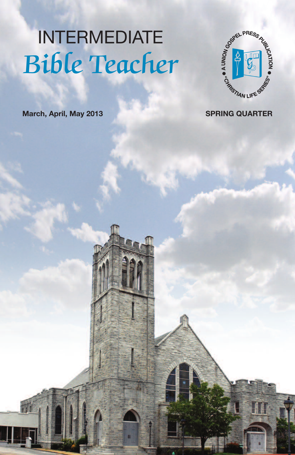# INTERMEDIATE Bible Teacher

 $\mathbf{u}$ 



**March, April, May 2013 SPRING QUARTER**

H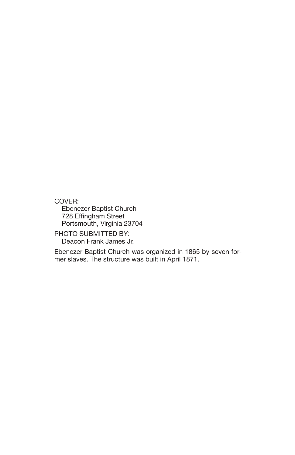COVER:

Ebenezer Baptist Church 728 Effingham Street Portsmouth, Virginia 23704

PHOTO SUBMITTED BY: Deacon Frank James Jr.

Ebenezer Baptist Church was organized in 1865 by seven former slaves. The structure was built in April 1871.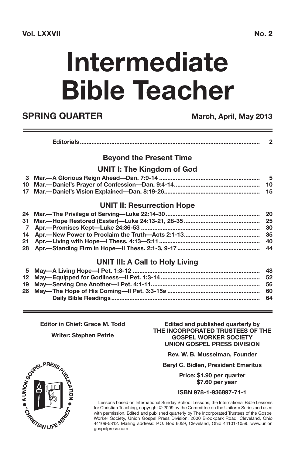#### **Vol. LXXVII No. 2**

# **Intermediate Bible Teacher**

### **SPRING QUARTER March, April, May 2013**

|--|--|

#### **Beyond the Present Time**

#### **UNIT I: The Kingdom of God**

#### **UNIT II: Resurrection Hope**

| 31 Mar.—Hope Restored (Easter)—Luke 24:13-21, 28-35 …………………………………………… 25 |  |
|--------------------------------------------------------------------------|--|
|                                                                          |  |
|                                                                          |  |
|                                                                          |  |
|                                                                          |  |
|                                                                          |  |

#### **UNIT III: A Call to Holy Living**

**Editor in Chief: Grace M. Todd**

**Writer: Stephen Petrie**

**Edited and published quarterly by THE INCORPORATED TRUSTEES OF THE GOSPEL WORKER SOCIETY UNION GOSPEL PRESS DIVISION**

**Rev. W. B. Musselman, Founder**

**Beryl C. Bidlen, President Emeritus**

**Price: \$1.90 per quarter \$7.60 per year**

#### **ISBN 978-1-936897-71-1**

Lessons based on International Sunday School Lessons; the International Bible Lessons for Christian Teaching, copyright © 2009 by the Committee on the Uniform Series and used with permission. Edited and published quarterly by The Incorporated Trustees of the Gospel Worker Society, Union Gospel Press Division, 2000 Brookpark Road, Cleveland, Ohio 44109-5812. Mailing address: P.O. Box 6059, Cleveland, Ohio 44101-1059. www.union gospelpress.com

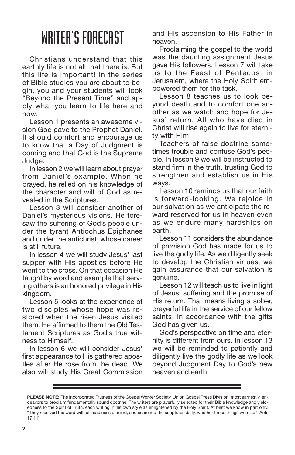### WRITER'S FORECAST

Christians understand that this earthly life is not all that there is. But this life is important! In the series of Bible studies you are about to begin, you and your students will look "Beyond the Present Time" and apply what you learn to life here and now.

Lesson 1 presents an awesome vision God gave to the Prophet Daniel. It should comfort and encourage us to know that a Day of Judgment is coming and that God is the Supreme Judge.

In lesson 2 we will learn about prayer from Daniel's example. When he prayed, he relied on his knowledge of the character and will of God as revealed in the Scriptures.

Lesson 3 will consider another of Daniel's mysterious visions. He foresaw the suffering of God's people under the tyrant Antiochus Epiphanes and under the antichrist, whose career is still future.

In lesson 4 we will study Jesus' last supper with His apostles before He went to the cross. On that occasion He taught by word and example that serving others is an honored privilege in His kingdom.

Lesson 5 looks at the experience of two disciples whose hope was restored when the risen Jesus visited them. He affirmed to them the Old Testament Scriptures as God's true witness to Himself.

In lesson 6 we will consider Jesus' first appearance to His gathered apostles after He rose from the dead. We also will study His Great Commission and His ascension to His Father in heaven.

Proclaiming the gospel to the world was the daunting assignment Jesus gave His followers. Lesson 7 will take us to the Feast of Pentecost in Jerusalem, where the Holy Spirit empowered them for the task.

Lesson 8 teaches us to look beyond death and to comfort one another as we watch and hope for Jesus' return. All who have died in Christ will rise again to live for eternity with Him.

Teachers of false doctrine sometimes trouble and confuse God's people. In lesson 9 we will be instructed to stand firm in the truth, trusting God to strengthen and establish us in His ways.

Lesson 10 reminds us that our faith is forward-looking. We rejoice in our salvation as we anticipate the reward reserved for us in heaven even as we endure many hardships on earth.

Lesson 11 considers the abundance of provision God has made for us to live the godly life. As we diligently seek to develop the Christian virtues, we gain assurance that our salvation is genuine.

Lesson 12 will teach us to live in light of Jesus' suffering and the promise of His return. That means living a sober, prayerful life in the service of our fellow saints, in accordance with the gifts God has given us.

God's perspective on time and eternity is different from ours. In lesson 13 we will be reminded to patiently and diligently live the godly life as we look beyond Judgment Day to God's new heaven and earth.

**PLEASE NOTE:** The Incorporated Trustees of the Gospel Worker Society, Union Gospel Press Division, most earnestly endeavors to proclaim fundamentally sound doctrine. The writers are prayerfully selected for their Bible knowledge and yieldedness to the Spirit of Truth, each writing in his own style as enlightened by the Holy Spirit. At best we know in part only. "They received the word with all readiness of mind, and searched the scriptures daily, whether those things were so" (Acts 17:11).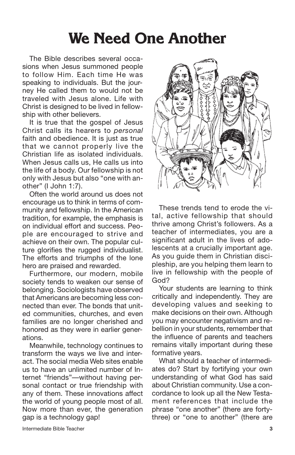### **We Need One Another**

The Bible describes several occasions when Jesus summoned people to follow Him. Each time He was speaking to individuals. But the journey He called them to would not be traveled with Jesus alone. Life with Christ is designed to be lived in fellowship with other believers.

It is true that the gospel of Jesus Christ calls its hearers to *personal* faith and obedience. It is just as true that we cannot properly live the Christian life as isolated individuals. When Jesus calls us. He calls us into the life of a body. Our fellowship is not only with Jesus but also "one with another" (I John 1:7).

Often the world around us does not encourage us to think in terms of community and fellowship. In the American tradition, for example, the emphasis is on individual effort and success. People are encouraged to strive and achieve on their own. The popular culture glorifies the rugged individualist. The efforts and triumphs of the lone hero are praised and rewarded.

Furthermore, our modern, mobile society tends to weaken our sense of belonging. Sociologists have observed that Americans are becoming less connected than ever. The bonds that united communities, churches, and even families are no longer cherished and honored as they were in earlier generations.

Meanwhile, technology continues to transform the ways we live and interact. The social media Web sites enable us to have an unlimited number of Internet "friends"—without having personal contact or true friendship with any of them. These innovations affect the world of young people most of all. Now more than ever, the generation gap is a technology gap!



These trends tend to erode the vital, active fellowship that should thrive among Christ's followers. As a teacher of intermediates, you are a significant adult in the lives of adolescents at a crucially important age. As you guide them in Christian discipleship, are you helping them learn to live in fellowship with the people of God?

Your students are learning to think critically and independently. They are developing values and seeking to make decisions on their own. Although you may encounter negativism and rebellion in your students, remember that the influence of parents and teachers remains vitally important during these formative years.

What should a teacher of intermediates do? Start by fortifying your own understanding of what God has said about Christian community. Use a concordance to look up all the New Testament references that include the phrase "one another" (there are fortythree) or "one to another" (there are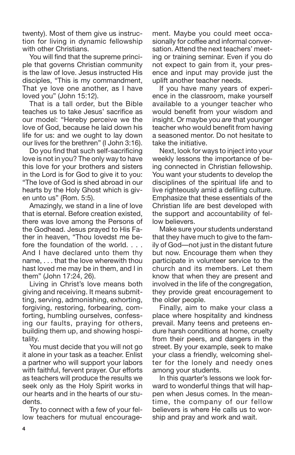twenty). Most of them give us instruction for living in dynamic fellowship with other Christians.

You will find that the supreme principle that governs Christian community is the law of love. Jesus instructed His disciples, "This is my commandment, That ye love one another, as I have loved you" (John 15:12).

That is a tall order, but the Bible teaches us to take Jesus' sacrifice as our model: "Hereby perceive we the love of God, because he laid down his life for us: and we ought to lay down our lives for the brethren" (I John 3:16).

Do you find that such self-sacrificing love is not in you? The only way to have this love for your brothers and sisters in the Lord is for God to give it to you: "The love of God is shed abroad in our hearts by the Holy Ghost which is given unto us" (Rom. 5:5).

Amazingly, we stand in a line of love that is eternal. Before creation existed, there was love among the Persons of the Godhead. Jesus prayed to His Father in heaven, "Thou lovedst me before the foundation of the world. . . . And I have declared unto them thy name, . . . that the love wherewith thou hast loved me may be in them, and I in them" (John 17:24, 26).

Living in Christ's love means both giving and receiving. It means submitting, serving, admonishing, exhorting, forgiving, restoring, forbearing, comforting, humbling ourselves, confessing our faults, praying for others, building them up, and showing hospitality.

You must decide that you will not go it alone in your task as a teacher. Enlist a partner who will support your labors with faithful, fervent prayer. Our efforts as teachers will produce the results we seek only as the Holy Spirit works in our hearts and in the hearts of our students.

Try to connect with a few of your fellow teachers for mutual encouragement. Maybe you could meet occasionally for coffee and informal conversation. Attend the next teachers' meeting or training seminar. Even if you do not expect to gain from it, your presence and input may provide just the uplift another teacher needs.

If you have many years of experience in the classroom, make yourself available to a younger teacher who would benefit from your wisdom and insight. Or maybe you *are* that younger teacher who would benefit from having a seasoned mentor. Do not hesitate to take the initiative.

Next, look for ways to inject into your weekly lessons the importance of being connected in Christian fellowship. You want your students to develop the disciplines of the spiritual life and to live righteously amid a defiling culture. Emphasize that these essentials of the Christian life are best developed with the support and accountability of fellow believers.

Make sure your students understand that they have much to give to the family of God—not just in the distant future but now. Encourage them when they participate in volunteer service to the church and its members. Let them know that when they are present and involved in the life of the congregation, they provide great encouragement to the older people.

Finally, aim to make your class a place where hospitality and kindness prevail. Many teens and preteens endure harsh conditions at home, cruelty from their peers, and dangers in the street. By your example, seek to make your class a friendly, welcoming shelter for the lonely and needy ones among your students.

In this quarter's lessons we look forward to wonderful things that will happen when Jesus comes. In the meantime, the company of our fellow believers is where He calls us to worship and pray and work and wait.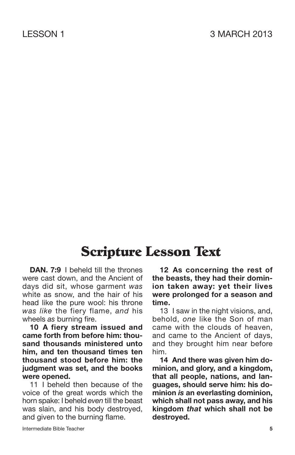### **Scripture Lesson Text**

**DAN. 7:9** I beheld till the thrones were cast down, and the Ancient of days did sit, whose garment *was* white as snow, and the hair of his head like the pure wool: his throne *was like* the fiery flame, *and* his wheels *as* burning fire.

**10 A fiery stream issued and came forth from before him: thousand thousands ministered unto him, and ten thousand times ten thousand stood before him: the judgment was set, and the books were opened.**

11 I beheld then because of the voice of the great words which the horn spake: I beheld *even* till the beast was slain, and his body destroyed, and given to the burning flame.

**12 As concerning the rest of the beasts, they had their dominion taken away: yet their lives were prolonged for a season and time.**

13 I saw in the night visions, and, behold, *one* like the Son of man came with the clouds of heaven, and came to the Ancient of days, and they brought him near before him.

**14 And there was given him dominion, and glory, and a kingdom, that all people, nations, and languages, should serve him: his dominion** *is* **an everlasting dominion, which shall not pass away, and his kingdom** *that* **which shall not be destroyed.**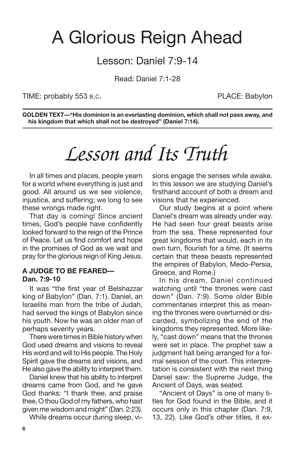### A Glorious Reign Ahead

### Lesson: Daniel 7:9-14

Read: Daniel 7:1-28

TIME: probably 553 B.C. PLACE: Babylon

**GOLDEN TEXT—"His dominion is an everlasting dominion, which shall not pass away, and his kingdom that which shall not be destroyed" (Daniel 7:14).**

### *Lesson and Its Truth*

In all times and places, people yearn for a world where everything is just and good. All around us we see violence, injustice, and suffering; we long to see these wrongs made right.

That day is coming! Since ancient times, God's people have confidently looked forward to the reign of the Prince of Peace. Let us find comfort and hope in the promises of God as we wait and pray for the glorious reign of King Jesus.

#### **A JUDGE TO BE FEARED— Dan. 7:9-10**

It was "the first year of Belshazzar king of Babylon" (Dan. 7:1). Daniel, an Israelite man from the tribe of Judah, had served the kings of Babylon since his youth. Now he was an older man of perhaps seventy years.

There were times in Bible history when God used dreams and visions to reveal His word and will to His people. The Holy Spirit gave the dreams and visions, and He also gave the ability to interpret them.

Daniel knew that his ability to interpret dreams came from God, and he gave God thanks: "I thank thee, and praise thee, O thou God of my fathers, who hast given mewisdom and might" (Dan. 2:23).

While dreams occur during sleep, vi-

sions engage the senses while awake. In this lesson we are studying Daniel's firsthand account of both a dream and visions that he experienced.

Our study begins at a point where Daniel's dream was already under way. He had seen four great beasts arise from the sea. These represented four great kingdoms that would, each in its own turn, flourish for a time. (It seems certain that these beasts represented the empires of Babylon, Medo-Persia, Greece, and Rome.)

In his dream, Daniel continued watching until "the thrones were cast down" (Dan. 7:9). Some older Bible commentaries interpret this as meaning the thrones were overturned or discarded, symbolizing the end of the kingdoms they represented. More likely, "cast down" means that the thrones were set in place. The prophet saw a judgment hall being arranged for a formal session of the court. This interpretation is consistent with the next thing Daniel saw: the Supreme Judge, the Ancient of Days, was seated.

"Ancient of Days" is one of many titles for God found in the Bible, and it occurs only in this chapter (Dan. 7:9, 13, 22). Like God's other titles, it ex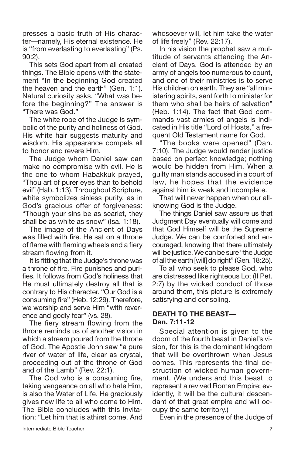presses a basic truth of His character—namely, His eternal existence. He is "from everlasting to everlasting" (Ps. 90:2).

This sets God apart from all created things. The Bible opens with the statement "In the beginning God created the heaven and the earth" (Gen. 1:1). Natural curiosity asks, "What was before the beginning?" The answer is "There was God."

The white robe of the Judge is symbolic of the purity and holiness of God. His white hair suggests maturity and wisdom. His appearance compels all to honor and revere Him.

The Judge whom Daniel saw can make no compromise with evil. He is the one to whom Habakkuk prayed, "Thou art of purer eyes than to behold evil" (Hab. 1:13). Throughout Scripture, white symbolizes sinless purity, as in God's gracious offer of forgiveness: "Though your sins be as scarlet, they shall be as white as snow" (Isa. 1:18).

The image of the Ancient of Days was filled with fire. He sat on a throne of flame with flaming wheels and a fiery stream flowing from it.

It is fitting that the Judge's throne was a throne of fire. Fire punishes and purifies. It follows from God's holiness that He must ultimately destroy all that is contrary to His character. "Our God is a consuming fire" (Heb. 12:29). Therefore, we worship and serve Him "with reverence and godly fear" (vs. 28).

The fiery stream flowing from the throne reminds us of another vision in which a stream poured from the throne of God. The Apostle John saw "a pure river of water of life, clear as crystal, proceeding out of the throne of God and of the Lamb" (Rev. 22:1).

The God who is a consuming fire, taking vengeance on all who hate Him, is also the Water of Life. He graciously gives new life to all who come to Him. The Bible concludes with this invitation: "Let him that is athirst come. And whosoever will, let him take the water of life freely" (Rev. 22:17).

In his vision the prophet saw a multitude of servants attending the Ancient of Days. God is attended by an army of angels too numerous to count, and one of their ministries is to serve His children on earth. They are "all ministering spirits, sent forth to minister for them who shall be heirs of salvation" (Heb. 1:14). The fact that God commands vast armies of angels is indicated in His title "Lord of Hosts," a frequent Old Testament name for God.

"The books were opened" (Dan. 7:10). The Judge would render justice based on perfect knowledge; nothing would be hidden from Him. When a guilty man stands accused in a court of law, he hopes that the evidence against him is weak and incomplete.

That will never happen when our allknowing God is the Judge.

The things Daniel saw assure us that Judgment Day eventually will come and that God Himself will be the Supreme Judge. We can be comforted and encouraged, knowing that there ultimately will be justice. We can be sure "the Judge of all the earth [will] do right" (Gen. 18:25).

To all who seek to please God, who are distressed like righteous Lot (II Pet. 2:7) by the wicked conduct of those around them, this picture is extremely satisfying and consoling.

#### **DEATH TO THE BEAST— Dan. 7:11-12**

Special attention is given to the doom of the fourth beast in Daniel's vision, for this is the dominant kingdom that will be overthrown when Jesus comes. This represents the final destruction of wicked human government. (We understand this beast to represent a revived Roman Empire; evidently, it will be the cultural descendant of that great empire and will occupy the same territory.)

Even in the presence of the Judge of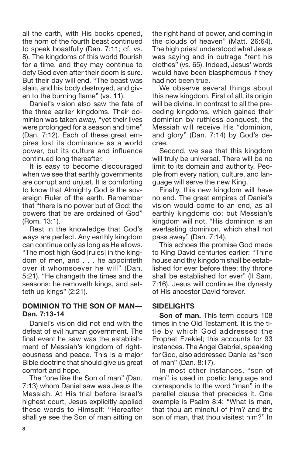all the earth, with His books opened, the horn of the fourth beast continued to speak boastfully (Dan. 7:11; cf. vs. 8). The kingdoms of this world flourish for a time, and they may continue to defy God even after their doom is sure. But their day will end. "The beast was slain, and his body destroyed, and given to the burning flame" (vs. 11).

Daniel's vision also saw the fate of the three earlier kingdoms. Their dominion was taken away, "yet their lives were prolonged for a season and time" (Dan. 7:12). Each of these great empires lost its dominance as a world power, but its culture and influence continued long thereafter.

It is easy to become discouraged when we see that earthly governments are corrupt and unjust. It is comforting to know that Almighty God is the sovereign Ruler of the earth. Remember that "there is no power but of God: the powers that be are ordained of God" (Rom. 13:1).

Rest in the knowledge that God's ways are perfect. Any earthly kingdom can continue only as long as He allows. "The most high God [rules] in the kingdom of men, and . . . he appointeth over it whomsoever he will" (Dan. 5:21). "He changeth the times and the seasons: he removeth kings, and setteth up kings" (2:21).

#### **DOMINION TO THE SON OF MAN— Dan. 7:13-14**

Daniel's vision did not end with the defeat of evil human government. The final event he saw was the establishment of Messiah's kingdom of righteousness and peace. This is a major Bible doctrine that should give us great comfort and hope.

The "one like the Son of man" (Dan. 7:13) whom Daniel saw was Jesus the Messiah. At His trial before Israel's highest court, Jesus explicitly applied these words to Himself: "Hereafter shall ye see the Son of man sitting on the right hand of power, and coming in the clouds of heaven" (Matt. 26:64). The high priest understood what Jesus was saying and in outrage "rent his clothes" (vs. 65). Indeed, Jesus' words would have been blasphemous if they had not been true.

We observe several things about this new kingdom. First of all, its origin will be divine. In contrast to all the preceding kingdoms, which gained their dominion by ruthless conquest, the Messiah will receive His "dominion, and glory" (Dan. 7:14) by God's decree.

Second, we see that this kingdom will truly be universal. There will be no limit to its domain and authority. People from every nation, culture, and language will serve the new King.

Finally, this new kingdom will have no end. The great empires of Daniel's vision would come to an end, as all earthly kingdoms do; but Messiah's kingdom will not. "His dominion is an everlasting dominion, which shall not pass away" (Dan. 7:14).

This echoes the promise God made to King David centuries earlier: "Thine house and thy kingdom shall be established for ever before thee: thy throne shall be established for ever" (II Sam. 7:16). Jesus will continue the dynasty of His ancestor David forever.

### **SIDELIGHTS**

**Son of man.** This term occurs 108 times in the Old Testament. It is the title by which God addressed the Prophet Ezekiel; this accounts for 93 instances. The Angel Gabriel, speaking for God, also addressed Daniel as "son of man" (Dan. 8:17).

In most other instances, "son of man" is used in poetic language and corresponds to the word "man" in the parallel clause that precedes it. One example is Psalm 8:4: "What is man, that thou art mindful of him? and the son of man, that thou visitest him?" In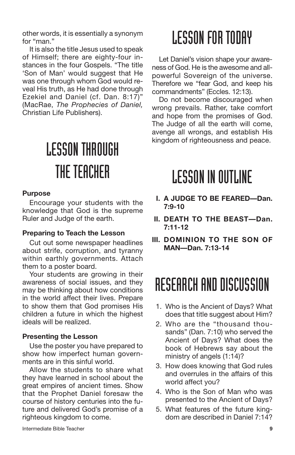other words, it is essentially a synonym for "man."

It is also the title Jesus used to speak of Himself; there are eighty-four instances in the four Gospels. "The title 'Son of Man' would suggest that He was one through whom God would reveal His truth, as He had done through Ezekiel and Daniel (cf. Dan. 8:17)" (MacRae, *The Prophecies of Daniel,* Christian Life Publishers).

# LESSONTHROUGH THE TEACHER

#### **Purpose**

Encourage your students with the knowledge that God is the supreme Ruler and Judge of the earth.

#### **Preparing to Teach the Lesson**

Cut out some newspaper headlines about strife, corruption, and tyranny within earthly governments. Attach them to a poster board.

Your students are growing in their awareness of social issues, and they may be thinking about how conditions in the world affect their lives. Prepare to show them that God promises His children a future in which the highest ideals will be realized.

#### **Presenting the Lesson**

Use the poster you have prepared to show how imperfect human governments are in this sinful world.

Allow the students to share what they have learned in school about the great empires of ancient times. Show that the Prophet Daniel foresaw the course of history centuries into the future and delivered God's promise of a righteous kingdom to come.

Let Daniel's vision shape your awareness of God. He is the awesome and allpowerful Sovereign of the universe. Therefore we "fear God, and keep his commandments" (Eccles. 12:13).

Do not become discouraged when wrong prevails. Rather, take comfort and hope from the promises of God. The Judge of all the earth will come, avenge all wrongs, and establish His kingdom of righteousness and peace.

### **LESSON IN OUTLINE**

- **I. A JUDGE TO BE FEARED—Dan. 7:9-10**
- **II. DEATH TO THE BEAST—Dan. 7:11-12**
- **III. DOMINION TO THE SON OF MAN—Dan. 7:13-14**

### RESEARCH AND DISCUSSION

- 1. Who is the Ancient of Days? What does that title suggest about Him?
- 2. Who are the "thousand thousands" (Dan. 7:10) who served the Ancient of Days? What does the book of Hebrews say about the ministry of angels (1:14)?
- 3. How does knowing that God rules and overrules in the affairs of this world affect you?
- 4. Who is the Son of Man who was presented to the Ancient of Days?
- 5. What features of the future kingdom are described in Daniel 7:14?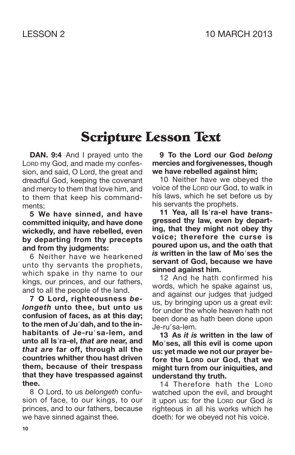### **Scripture Lesson Text**

**DAN. 9:4** And I prayed unto the LORD my God, and made my confession, and said, O Lord, the great and dreadful God, keeping the covenant and mercy to them that love him, and to them that keep his commandments;

**5 We have sinned, and have committed iniquity, and have done wickedly, and have rebelled, even by departing from thy precepts and from thy judgments:**

6 Neither have we hearkened unto thy servants the prophets, which spake in thy name to our kings, our princes, and our fathers, and to all the people of the land.

**7 O Lord, righteousness** *belongeth* **unto thee, but unto us confusion of faces, as at this day; to the men of Judah, and to the inhabitants of Je-rusa-lem, and unto all Isra-el,** *that are* **near, and** *that are* **far off, through all the countries whither thou hast driven them, because of their trespass that they have trespassed against thee.**

8 O Lord, to us *belongeth* confusion of face, to our kings, to our princes, and to our fathers, because we have sinned against thee.

**9 To the Lord our God** *belong* **mercies and forgivenesses, though we have rebelled against him;**

10 Neither have we obeyed the voice of the LORD our God, to walk in his laws, which he set before us by his servants the prophets.

**11 Yea, all Isra-el have transgressed thy law, even by departing, that they might not obey thy voice; therefore the curse is poured upon us, and the oath that** *is* **written in the law of Moses the servant of God, because we have sinned against him.**

12 And he hath confirmed his words, which he spake against us, and against our judges that judged us, by bringing upon us a great evil: for under the whole heaven hath not been done as hath been done upon Je-ru'sa-lem.

**13 As** *it is* **written in the law of Moses, all this evil is come upon us: yet made we not our prayer before the LORD our God, that we might turn from our iniquities, and understand thy truth.**

14 Therefore hath the LORD watched upon the evil, and brought it upon us: for the LORD our God *is* righteous in all his works which he doeth: for we obeyed not his voice.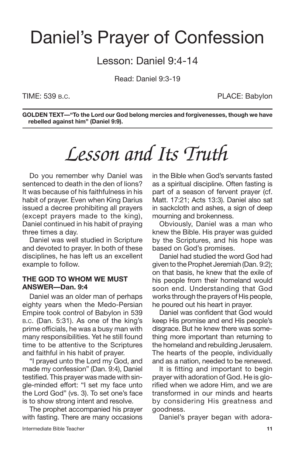### Daniel's Prayer of Confession

Lesson: Daniel 9:4-14

Read: Daniel 9:3-19

TIME: 539 B.C. **PLACE: Babylon** 

**GOLDEN TEXT—"To the Lord our God belong mercies and forgivenesses, though we have rebelled against him" (Daniel 9:9).**

## *Lesson and Its Truth*

Do you remember why Daniel was sentenced to death in the den of lions? It was because of his faithfulness in his habit of prayer. Even when King Darius issued a decree prohibiting all prayers (except prayers made to the king), Daniel continued in his habit of praying three times a day.

Daniel was well studied in Scripture and devoted to prayer. In both of these disciplines, he has left us an excellent example to follow.

#### **THE GOD TO WHOM WE MUST ANSWER—Dan. 9:4**

Daniel was an older man of perhaps eighty years when the Medo-Persian Empire took control of Babylon in 539 B.C. (Dan. 5:31). As one of the king's prime officials, he was a busy man with many responsibilities. Yet he still found time to be attentive to the Scriptures and faithful in his habit of prayer.

"I prayed unto the Lord my God, and made my confession" (Dan. 9:4), Daniel testified. This prayer was made with single-minded effort: "I set my face unto the Lord God" (vs. 3). To set one's face is to show strong intent and resolve.

The prophet accompanied his prayer with fasting. There are many occasions in the Bible when God's servants fasted as a spiritual discipline. Often fasting is part of a season of fervent prayer (cf. Matt. 17:21; Acts 13:3). Daniel also sat in sackcloth and ashes, a sign of deep mourning and brokenness.

Obviously, Daniel was a man who knew the Bible. His prayer was guided by the Scriptures, and his hope was based on God's promises.

Daniel had studied the word God had given to the Prophet Jeremiah (Dan. 9:2); on that basis, he knew that the exile of his people from their homeland would soon end. Understanding that God works through the prayers of His people, he poured out his heart in prayer.

Daniel was confident that God would keep His promise and end His people's disgrace. But he knew there was something more important than returning to the homeland and rebuilding Jerusalem. The hearts of the people, individually and as a nation, needed to be renewed.

It is fitting and important to begin prayer with adoration of God. He is glorified when we adore Him, and we are transformed in our minds and hearts by considering His greatness and goodness.

Daniel's prayer began with adora-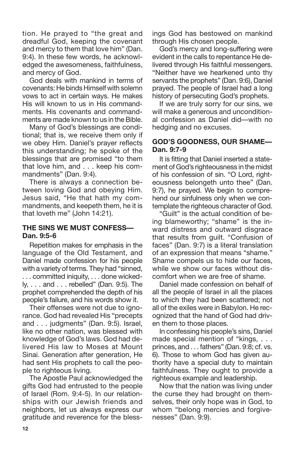tion. He prayed to "the great and dreadful God, keeping the covenant and mercy to them that love him" (Dan. 9:4). In these few words, he acknowledged the awesomeness, faithfulness, and mercy of God.

God deals with mankind in terms of covenants: He binds Himself with solemn vows to act in certain ways. He makes His will known to us in His commandments. His covenants and commandments are made known to us in the Bible.

Many of God's blessings are conditional; that is, we receive them only if we obey Him. Daniel's prayer reflects this understanding; he spoke of the blessings that are promised "to them that love him, and . . . keep his commandments" (Dan. 9:4).

There is always a connection between loving God and obeying Him. Jesus said, "He that hath my commandments, and keepeth them, he it is that loveth me" (John 14:21).

#### **THE SINS WE MUST CONFESS— Dan. 9:5-6**

Repetition makes for emphasis in the language of the Old Testament, and Daniel made confession for his people with a variety of terms. They had "sinned, . . . committed iniquity, . . . done wickedly, . . . and . . . rebelled" (Dan. 9:5). The prophet comprehended the depth of his people's failure, and his words show it.

Their offenses were not due to ignorance. God had revealed His "precepts and . . . judgments" (Dan. 9:5). Israel, like no other nation, was blessed with knowledge of God's laws. God had delivered His law to Moses at Mount Sinai. Generation after generation, He had sent His prophets to call the people to righteous living.

The Apostle Paul acknowledged the gifts God had entrusted to the people of Israel (Rom. 9:4-5). In our relationships with our Jewish friends and neighbors, let us always express our gratitude and reverence for the blessings God has bestowed on mankind through His chosen people.

God's mercy and long-suffering were evident in the calls to repentance He delivered through His faithful messengers. "Neither have we hearkened unto thy servants the prophets" (Dan. 9:6), Daniel prayed. The people of Israel had a long history of persecuting God's prophets.

If we are truly sorry for our sins, we will make a generous and unconditional confession as Daniel did—with no hedging and no excuses.

#### **GOD'S GOODNESS, OUR SHAME— Dan. 9:7-9**

It is fitting that Daniel inserted a statement of God's righteousness in the midst of his confession of sin. "O Lord, righteousness belongeth unto thee" (Dan. 9:7), he prayed. We begin to comprehend our sinfulness only when we contemplate the righteous character of God.

"Guilt" is the actual condition of being blameworthy; "shame" is the inward distress and outward disgrace that results from guilt. "Confusion of faces" (Dan. 9:7) is a literal translation of an expression that means "shame." Shame compels us to hide our faces, while we show our faces without discomfort when we are free of shame.

Daniel made confession on behalf of all the people of Israel in all the places to which they had been scattered; not all of the exiles were in Babylon. He recognized that the hand of God had driven them to those places.

In confessing his people's sins, Daniel made special mention of "kings, . . . princes, and . . . fathers" (Dan. 9:8; cf. vs. 6). Those to whom God has given authority have a special duty to maintain faithfulness. They ought to provide a righteous example and leadership.

Now that the nation was living under the curse they had brought on themselves, their only hope was in God, to whom "belong mercies and forgivenesses" (Dan. 9:9).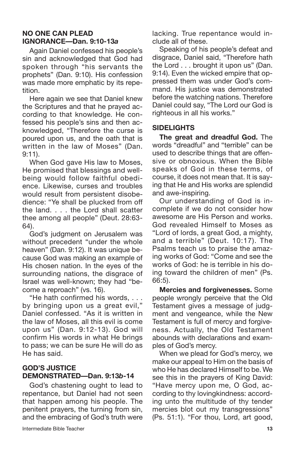#### **NO ONE CAN PLEAD IGNORANCE—Dan. 9:10-13***a*

Again Daniel confessed his people's sin and acknowledged that God had spoken through "his servants the prophets" (Dan. 9:10). His confession was made more emphatic by its repetition.

Here again we see that Daniel knew the Scriptures and that he prayed according to that knowledge. He confessed his people's sins and then acknowledged, "Therefore the curse is poured upon us, and the oath that is written in the law of Moses" (Dan. 9:11).

When God gave His law to Moses, He promised that blessings and wellbeing would follow faithful obedience. Likewise, curses and troubles would result from persistent disobedience: "Ye shall be plucked from off the land. . . . the Lord shall scatter thee among all people" (Deut. 28:63- 64).

God's judgment on Jerusalem was without precedent "under the whole heaven" (Dan. 9:12). It was unique because God was making an example of His chosen nation. In the eyes of the surrounding nations, the disgrace of Israel was well-known; they had "become a reproach" (vs. 16).

"He hath confirmed his words, . . . by bringing upon us a great evil," Daniel confessed. "As it is written in the law of Moses, all this evil is come upon us" (Dan. 9:12-13). God will confirm His words in what He brings to pass; we can be sure He will do as He has said.

#### **GOD'S JUSTICE DEMONSTRATED—Dan. 9:13***b***-14**

God's chastening ought to lead to repentance, but Daniel had not seen that happen among his people. The penitent prayers, the turning from sin, and the embracing of God's truth were

Speaking of his people's defeat and disgrace, Daniel said, "Therefore hath the Lord . . . brought it upon us" (Dan. 9:14). Even the wicked empire that oppressed them was under God's command. His justice was demonstrated before the watching nations. Therefore Daniel could say, "The Lord our God is righteous in all his works."

#### **SIDELIGHTS**

**The great and dreadful God.** The words "dreadful" and "terrible" can be used to describe things that are offensive or obnoxious. When the Bible speaks of God in these terms, of course, it does not mean that. It is saying that He and His works are splendid and awe-inspiring.

Our understanding of God is incomplete if we do not consider how awesome are His Person and works. God revealed Himself to Moses as "Lord of lords, a great God, a mighty, and a terrible" (Deut. 10:17). The Psalms teach us to praise the amazing works of God: "Come and see the works of God: he is terrible in his doing toward the children of men" (Ps. 66:5).

**Mercies and forgivenesses.** Some people wrongly perceive that the Old Testament gives a message of judgment and vengeance, while the New Testament is full of mercy and forgiveness. Actually, the Old Testament abounds with declarations and examples of God's mercy.

When we plead for God's mercy, we make our appeal to Him on the basis of who He has declared Himself to be. We see this in the prayers of King David: "Have mercy upon me, O God, according to thy lovingkindness: according unto the multitude of thy tender mercies blot out my transgressions" (Ps. 51:1). "For thou, Lord, art good,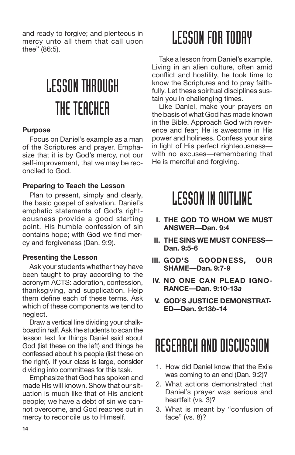and ready to forgive; and plenteous in mercy unto all them that call upon thee" (86:5).

# LESSONTHROUGH THE TEACHER

#### **Purpose**

Focus on Daniel's example as a man of the Scriptures and prayer. Emphasize that it is by God's mercy, not our self-improvement, that we may be reconciled to God.

#### **Preparing to Teach the Lesson**

Plan to present, simply and clearly, the basic gospel of salvation. Daniel's emphatic statements of God's righteousness provide a good starting point. His humble confession of sin contains hope; with God we find mercy and forgiveness (Dan. 9:9).

#### **Presenting the Lesson**

Ask your students whether they have been taught to pray according to the acronym ACTS: adoration, confession, thanksgiving, and supplication. Help them define each of these terms. Ask which of these components we tend to neglect.

Draw a vertical line dividing your chalkboard in half. Ask the students to scan the lesson text for things Daniel said about God (list these on the left) and things he confessed about his people (list these on the right). If your class is large, consider dividing into committees for this task.

Emphasize that God has spoken and made His will known. Show that our situation is much like that of His ancient people; we have a debt of sin we cannot overcome, and God reaches out in mercy to reconcile us to Himself.

### **LESSON FOR TODAY**

Take a lesson from Daniel's example. Living in an alien culture, often amid conflict and hostility, he took time to know the Scriptures and to pray faithfully. Let these spiritual disciplines sustain you in challenging times.

Like Daniel, make your prayers on the basis of what God has made known in the Bible. Approach God with reverence and fear; He is awesome in His power and holiness. Confess your sins in light of His perfect righteousness with no excuses—remembering that He is merciful and forgiving.

### **LESSON IN OUTLINE**

- **I. THE GOD TO WHOM WE MUST ANSWER—Dan. 9:4**
- **II. THE SINS WE MUST CONFESS— Dan. 9:5-6**
- **III. GOD'S GOODNESS, OUR SHAME—Dan. 9:7-9**
- **IV. NO ONE CAN PLEAD IGNO-RANCE—Dan. 9:10-13***a*
- **V. GOD'S JUSTICE DEMONSTRAT-ED—Dan. 9:13***b***-14**

### RESEARCH AND DISCUSSION

- 1. How did Daniel know that the Exile was coming to an end (Dan. 9:2)?
- 2. What actions demonstrated that Daniel's prayer was serious and heartfelt (vs. 3)?
- 3. What is meant by "confusion of face" (vs. 8)?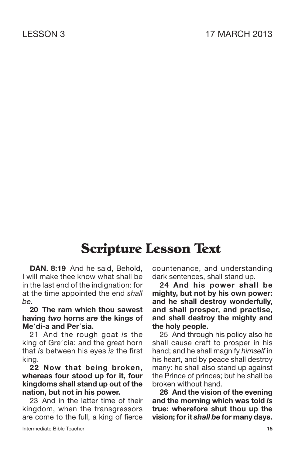### **Scripture Lesson Text**

**DAN. 8:19** And he said, Behold, I will make thee know what shall be in the last end of the indignation: for at the time appointed the end *shall be.*

**20 The ram which thou sawest having** *two* **horns** *are* **the kings of Medi-a and Persia.**

21 And the rough goat *is* the king of Gre'cia: and the great horn that *is* between his eyes *is* the first king.

**22 Now that being broken, whereas four stood up for it, four kingdoms shall stand up out of the nation, but not in his power.**

23 And in the latter time of their kingdom, when the transgressors are come to the full, a king of fierce countenance, and understanding dark sentences, shall stand up.

**24 And his power shall be mighty, but not by his own power: and he shall destroy wonderfully, and shall prosper, and practise, and shall destroy the mighty and the holy people.**

25 And through his policy also he shall cause craft to prosper in his hand; and he shall magnify *himself* in his heart, and by peace shall destroy many: he shall also stand up against the Prince of princes; but he shall be broken without hand.

**26 And the vision of the evening and the morning which was told** *is* **true: wherefore shut thou up the vision; forit** *shall be* **for many days.**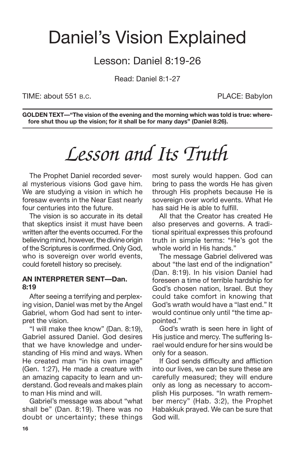### Daniel's Vision Explained

### Lesson: Daniel 8:19-26

Read: Daniel 8:1-27

TIME: about 551 B.C. PLACE: Babylon

**GOLDEN TEXT—"The vision of the evening and the morning which was told is true: wherefore shut thou up the vision; for it shall be for many days" (Daniel 8:26).**

### *Lesson and Its Truth*

The Prophet Daniel recorded several mysterious visions God gave him. We are studying a vision in which he foresaw events in the Near East nearly four centuries into the future.

The vision is so accurate in its detail that skeptics insist it must have been written after the events occurred. For the believing mind, however, the divine origin of the Scriptures is confirmed. Only God, who is sovereign over world events, could foretell history so precisely.

#### **AN INTERPRETER SENT—Dan. 8:19**

After seeing a terrifying and perplexing vision, Daniel was met by the Angel Gabriel, whom God had sent to interpret the vision.

"I will make thee know" (Dan. 8:19), Gabriel assured Daniel. God desires that we have knowledge and understanding of His mind and ways. When He created man "in his own image" (Gen. 1:27), He made a creature with an amazing capacity to learn and understand. God reveals and makes plain to man His mind and will.

Gabriel's message was about "what shall be" (Dan. 8:19). There was no doubt or uncertainty; these things most surely would happen. God can bring to pass the words He has given through His prophets because He is sovereign over world events. What He has said He is able to fulfill.

All that the Creator has created He also preserves and governs. A traditional spiritual expresses this profound truth in simple terms: "He's got the whole world in His hands."

The message Gabriel delivered was about "the last end of the indignation" (Dan. 8:19). In his vision Daniel had foreseen a time of terrible hardship for God's chosen nation, Israel. But they could take comfort in knowing that God's wrath would have a "last end." It would continue only until "the time appointed."

God's wrath is seen here in light of His justice and mercy. The suffering Israel would endure for her sins would be only for a season.

If God sends difficulty and affliction into our lives, we can be sure these are carefully measured; they will endure only as long as necessary to accomplish His purposes. "In wrath remember mercy" (Hab. 3:2), the Prophet Habakkuk prayed. We can be sure that God will.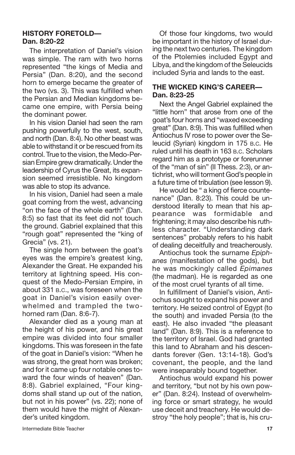#### **HISTORY FORETOLD— Dan. 8:20-22**

The interpretation of Daniel's vision was simple. The ram with two horns represented "the kings of Media and Persia" (Dan. 8:20), and the second horn to emerge became the greater of the two (vs. 3). This was fulfilled when the Persian and Median kingdoms became one empire, with Persia being the dominant power.

In his vision Daniel had seen the ram pushing powerfully to the west, south, and north (Dan. 8:4). No other beast was able to withstand it or be rescued from its control. True to the vision, the Medo-Persian Empire grew dramatically. Under the leadership of Cyrus the Great, its expansion seemed irresistible. No kingdom was able to stop its advance.

In his vision, Daniel had seen a male goat coming from the west, advancing "on the face of the whole earth" (Dan. 8:5) so fast that its feet did not touch the ground. Gabriel explained that this "rough goat" represented the "king of Grecia" (vs. 21).

The single horn between the goat's eyes was the empire's greatest king, Alexander the Great. He expanded his territory at lightning speed. His conquest of the Medo-Persian Empire, in about 331 B.C., was foreseen when the goat in Daniel's vision easily overwhelmed and trampled the twohorned ram (Dan. 8:6-7).

Alexander died as a young man at the height of his power, and his great empire was divided into four smaller kingdoms. This was foreseen in the fate of the goat in Daniel's vision: "When he was strong, the great horn was broken; and for it came up four notable ones toward the four winds of heaven" (Dan. 8:8). Gabriel explained, "Four kingdoms shall stand up out of the nation, but not in his power" (vs. 22); none of them would have the might of Alexander's united kingdom.

Of those four kingdoms, two would be important in the history of Israel during the next two centuries. The kingdom of the Ptolemies included Egypt and Libya, and the kingdom of the Seleucids included Syria and lands to the east.

#### **THE WICKED KING'S CAREER— Dan. 8:23-25**

Next the Angel Gabriel explained the "little horn" that arose from one of the goat's four horns and "waxed exceeding great" (Dan. 8:9). This was fulfilled when Antiochus IV rose to power over the Seleucid (Syrian) kingdom in 175 B.C. He ruled until his death in 163 B.C. Scholars regard him as a prototype or forerunner of the "man of sin" (II Thess. 2:3), or antichrist, who will torment God's people in a future time of tribulation (see lesson 9).

He would be " a king of fierce countenance" (Dan. 8:23). This could be understood literally to mean that his appearance was formidable and frightening; it may also describe his ruthless character. "Understanding dark sentences" probably refers to his habit of dealing deceitfully and treacherously.

Antiochus took the surname *Epiphanes* (manifestation of the gods), but he was mockingly called *Epimanes* (the madman). He is regarded as one of the most cruel tyrants of all time.

In fulfillment of Daniel's vision, Antiochus sought to expand his power and territory. He seized control of Egypt (to the south) and invaded Persia (to the east). He also invaded "the pleasant land" (Dan. 8:9). This is a reference to the territory of Israel. God had granted this land to Abraham and his descendants forever (Gen. 13:14-18). God's covenant, the people, and the land were inseparably bound together.

Antiochus would expand his power and territory, "but not by his own power" (Dan. 8:24). Instead of overwhelming force or smart strategy, he would use deceit and treachery. He would destroy "the holy people"; that is, his cru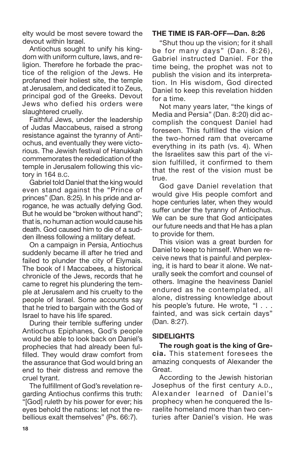elty would be most severe toward the devout within Israel.

Antiochus sought to unify his kingdom with uniform culture, laws, and religion. Therefore he forbade the practice of the religion of the Jews. He profaned their holiest site, the temple at Jerusalem, and dedicated it to Zeus, principal god of the Greeks. Devout Jews who defied his orders were slaughtered cruelly.

Faithful Jews, under the leadership of Judas Maccabeus, raised a strong resistance against the tyranny of Antiochus, and eventually they were victorious. The Jewish festival of Hanukkah commemorates the rededication of the temple in Jerusalem following this victory in 164 B.C.

Gabriel told Daniel that the king would even stand against the "Prince of princes" (Dan. 8:25). In his pride and arrogance, he was actually defying God. But he would be "broken without hand"; that is, no human action would cause his death. God caused him to die of a sudden illness following a military defeat.

On a campaign in Persia, Antiochus suddenly became ill after he tried and failed to plunder the city of Elymais. The book of I Maccabees, a historical chronicle of the Jews, records that he came to regret his plundering the temple at Jerusalem and his cruelty to the people of Israel. Some accounts say that he tried to bargain with the God of Israel to have his life spared.

During their terrible suffering under Antiochus Epiphanes, God's people would be able to look back on Daniel's prophecies that had already been fulfilled. They would draw comfort from the assurance that God would bring an end to their distress and remove the cruel tyrant.

The fulfillment of God's revelation regarding Antiochus confirms this truth: "[God] ruleth by his power for ever; his eyes behold the nations: let not the rebellious exalt themselves" (Ps. 66:7).

#### **THE TIME IS FAR-OFF—Dan. 8:26**

"Shut thou up the vision; for it shall be for many days" (Dan. 8:26), Gabriel instructed Daniel. For the time being, the prophet was not to publish the vision and its interpretation. In His wisdom, God directed Daniel to keep this revelation hidden for a time.

Not many years later, "the kings of Media and Persia" (Dan. 8:20) did accomplish the conquest Daniel had foreseen. This fulfilled the vision of the two-horned ram that overcame everything in its path (vs. 4). When the Israelites saw this part of the vision fulfilled, it confirmed to them that the rest of the vision must be true.

God gave Daniel revelation that would give His people comfort and hope centuries later, when they would suffer under the tyranny of Antiochus. We can be sure that God anticipates our future needs and that He has a plan to provide for them.

This vision was a great burden for Daniel to keep to himself. When we receive news that is painful and perplexing, it is hard to bear it alone. We naturally seek the comfort and counsel of others. Imagine the heaviness Daniel endured as he contemplated, all alone, distressing knowledge about his people's future. He wrote, "I . . . fainted, and was sick certain days" (Dan. 8:27).

#### **SIDELIGHTS**

**The rough goat is the king of Grecia.** This statement foresees the amazing conquests of Alexander the Great.

According to the Jewish historian Josephus of the first century A.D., Alexander learned of Daniel's prophecy when he conquered the Israelite homeland more than two centuries after Daniel's vision. He was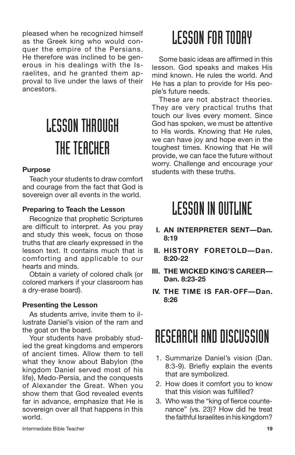pleased when he recognized himself as the Greek king who would conquer the empire of the Persians. He therefore was inclined to be generous in his dealings with the Israelites, and he granted them approval to live under the laws of their ancestors.

# LESSONTHROUGH THE TEACHER

#### **Purpose**

Teach your students to draw comfort and courage from the fact that God is sovereign over all events in the world.

#### **Preparing to Teach the Lesson**

Recognize that prophetic Scriptures are difficult to interpret. As you pray and study this week, focus on those truths that are clearly expressed in the lesson text. It contains much that is comforting and applicable to our hearts and minds.

Obtain a variety of colored chalk (or colored markers if your classroom has a dry-erase board).

#### **Presenting the Lesson**

As students arrive, invite them to illustrate Daniel's vision of the ram and the goat on the board.

Your students have probably studied the great kingdoms and emperors of ancient times. Allow them to tell what they know about Babylon (the kingdom Daniel served most of his life), Medo-Persia, and the conquests of Alexander the Great. When you show them that God revealed events far in advance, emphasize that He is sovereign over all that happens in this world.

## **LESSON FOR TODAY**

Some basic ideas are affirmed in this lesson. God speaks and makes His mind known. He rules the world. And He has a plan to provide for His people's future needs.

These are not abstract theories. They are very practical truths that touch our lives every moment. Since God has spoken, we must be attentive to His words. Knowing that He rules, we can have joy and hope even in the toughest times. Knowing that He will provide, we can face the future without worry. Challenge and encourage your students with these truths.

### **LESSON IN OUTLINE**

- **I. AN INTERPRETER SENT—Dan. 8:19**
- **II. HISTORY FORETOLD—Dan. 8:20-22**
- **III. THE WICKED KING'S CAREER— Dan. 8:23-25**
- **IV. THE TIME IS FAR-OFF—Dan. 8:26**

### RESEARCH AND DISCUSSION

- 1. Summarize Daniel's vision (Dan. 8:3-9). Briefly explain the events that are symbolized.
- 2. How does it comfort you to know that this vision was fulfilled?
- 3. Who was the "king of fierce countenance" (vs. 23)? How did he treat the faithful Israelites in his kingdom?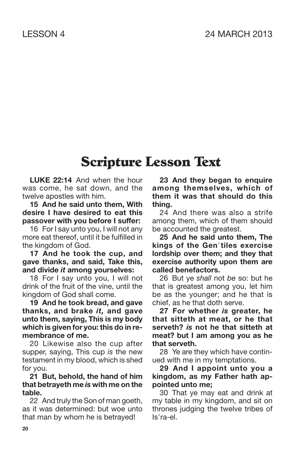### **Scripture Lesson Text**

**LUKE 22:14** And when the hour was come, he sat down, and the twelve apostles with him.

**15 And he said unto them, With desire I have desired to eat this passover with you before I suffer:**

16 For I say unto you, I will not any more eat thereof, until it be fulfilled in the kingdom of God.

**17 And he took the cup, and gave thanks, and said, Take this, and divide** *it* **among yourselves:**

18 For I say unto you, I will not drink of the fruit of the vine, until the kingdom of God shall come.

**19 And he took bread, and gave thanks, and brake** *it,* **and gave unto them, saying, This is my body which is given for you: this do in remembrance of me.**

20 Likewise also the cup after supper, saying, This cup *is* the new testament in my blood, which is shed for you.

**21 But, behold, the hand of him that betrayeth me** *is* **with me on the table.**

22 And truly the Son of man goeth, as it was determined: but woe unto that man by whom he is betrayed!

**23 And they began to enquire among themselves, which of them it was that should do this thing.**

24 And there was also a strife among them, which of them should be accounted the greatest.

**25 And he said unto them, The kings of the Gentiles exercise lordship over them; and they that exercise authority upon them are called benefactors.**

26 But ye *shall* not *be* so: but he that is greatest among you, let him be as the younger; and he that is chief, as he that doth serve.

**27 For whether** *is* **greater, he that sitteth at meat, or he that serveth?** *is* **not he that sitteth at meat? but I am among you as he that serveth.**

28 Ye are they which have continued with me in my temptations.

**29 And I appoint unto you a kingdom, as my Father hath appointed unto me;**

30 That ye may eat and drink at my table in my kingdom, and sit on thrones judging the twelve tribes of Isra-el.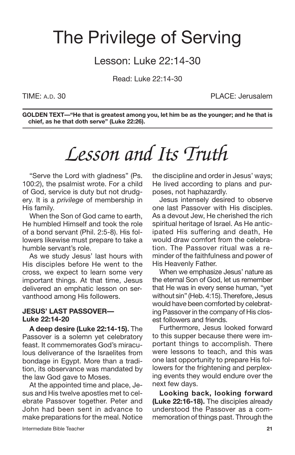### The Privilege of Serving

### Lesson: Luke 22:14-30

Read: Luke 22:14-30

TIME: A.D. 30 PLACE: Jerusalem

**GOLDEN TEXT—"He that is greatest among you, let him be as the younger; and he that is chief, as he that doth serve" (Luke 22:26).**

## *Lesson and Its Truth*

"Serve the Lord with gladness" (Ps. 100:2), the psalmist wrote. For a child of God, service is duty but not drudgery. It is a *privilege* of membership in His family.

When the Son of God came to earth, He humbled Himself and took the role of a bond servant (Phil. 2:5-8). His followers likewise must prepare to take a humble servant's role.

As we study Jesus' last hours with His disciples before He went to the cross, we expect to learn some very important things. At that time, Jesus delivered an emphatic lesson on servanthood among His followers.

#### **JESUS' LAST PASSOVER— Luke 22:14-20**

**A deep desire (Luke 22:14-15).** The Passover is a solemn yet celebratory feast. It commemorates God's miraculous deliverance of the Israelites from bondage in Egypt. More than a tradition, its observance was mandated by the law God gave to Moses.

At the appointed time and place, Jesus and His twelve apostles met to celebrate Passover together. Peter and John had been sent in advance to make preparations for the meal. Notice the discipline and order in Jesus' ways; He lived according to plans and purposes, not haphazardly.

Jesus intensely desired to observe one last Passover with His disciples. As a devout Jew, He cherished the rich spiritual heritage of Israel. As He anticipated His suffering and death, He would draw comfort from the celebration. The Passover ritual was a reminder of the faithfulness and power of His Heavenly Father.

When we emphasize Jesus' nature as the eternal Son of God, let us remember that He was in every sense human, "yet without sin" (Heb. 4:15). Therefore, Jesus would have been comforted by celebrating Passover in the company of His closest followers and friends.

Furthermore, Jesus looked forward to this supper because there were important things to accomplish. There were lessons to teach, and this was one last opportunity to prepare His followers for the frightening and perplexing events they would endure over the next few days.

**Looking back, looking forward (Luke 22:16-18).** The disciples already understood the Passover as a commemoration of things past. Through the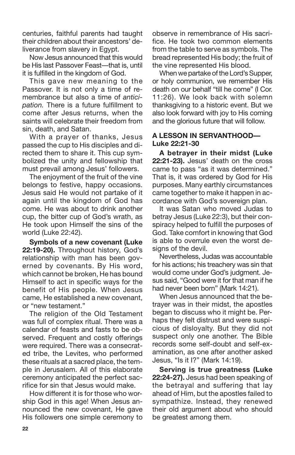centuries, faithful parents had taught their children about their ancestors' deliverance from slavery in Egypt.

Now Jesus announced that this would be His last Passover Feast—that is, until it is fulfilled in the kingdom of God.

This gave new meaning to the Passover. It is not only a time of remembrance but also a time of *anticipation.* There is a future fulfillment to come after Jesus returns, when the saints will celebrate their freedom from sin, death, and Satan.

With a prayer of thanks, Jesus passed the cup to His disciples and directed them to share it. This cup symbolized the unity and fellowship that must prevail among Jesus' followers.

The enjoyment of the fruit of the vine belongs to festive, happy occasions. Jesus said He would not partake of it again until the kingdom of God has come. He was about to drink another cup, the bitter cup of God's wrath, as He took upon Himself the sins of the world (Luke 22:42).

**Symbols of a new covenant (Luke 22:19-20).** Throughout history, God's relationship with man has been governed by covenants. By His word, which cannot be broken, He has bound Himself to act in specific ways for the benefit of His people. When Jesus came, He established a new covenant, or "new testament."

The religion of the Old Testament was full of complex ritual. There was a calendar of feasts and fasts to be observed. Frequent and costly offerings were required. There was a consecrated tribe, the Levites, who performed these rituals at a sacred place, the temple in Jerusalem. All of this elaborate ceremony anticipated the perfect sacrifice for sin that Jesus would make.

How different it is for those who worship God in this age! When Jesus announced the new covenant, He gave His followers one simple ceremony to observe in remembrance of His sacrifice. He took two common elements from the table to serve as symbols. The bread represented His body; the fruit of the vine represented His blood.

When we partake of the Lord's Supper. or holy communion, we remember His death on our behalf "till he come" (I Cor. 11:26). We look back with solemn thanksgiving to a historic event. But we also look forward with joy to His coming and the glorious future that will follow.

#### **A LESSON IN SERVANTHOOD— Luke 22:21-30**

**A betrayer in their midst (Luke 22:21-23).** Jesus' death on the cross came to pass "as it was determined." That is, it was ordered by God for His purposes. Many earthly circumstances came together to make it happen in accordance with God's sovereign plan.

It was Satan who moved Judas to betray Jesus (Luke 22:3), but their conspiracy helped to fulfill the purposes of God. Take comfort in knowing that God is able to overrule even the worst designs of the devil.

Nevertheless, Judas was accountable for his actions; his treachery was sin that would come under God's judgment. Jesus said, "Good were it for that man if he had never been born" (Mark 14:21).

When Jesus announced that the betrayer was in their midst, the apostles began to discuss who it might be. Perhaps they felt distrust and were suspicious of disloyalty. But they did not suspect only one another. The Bible records some self-doubt and self-examination, as one after another asked Jesus, "Is it I?" (Mark 14:19).

**Serving is true greatness (Luke 22:24-27).** Jesus had been speaking of the betrayal and suffering that lay ahead of Him, but the apostles failed to sympathize. Instead, they renewed their old argument about who should be greatest among them.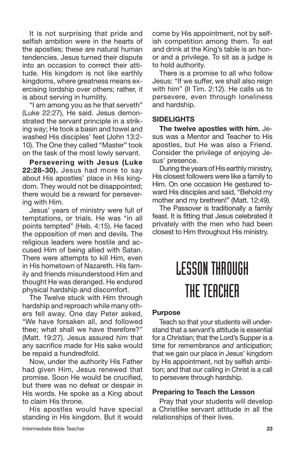It is not surprising that pride and selfish ambition were in the hearts of the apostles; these are natural human tendencies. Jesus turned their dispute into an occasion to correct their attitude. His kingdom is not like earthly kingdoms, where greatness means exercising lordship over others; rather, it is about serving in humility.

"I am among you as he that serveth" (Luke 22:27), He said. Jesus demonstrated the servant principle in a striking way; He took a basin and towel and washed His disciples' feet (John 13:2- 10). The One they called "Master" took on the task of the most lowly servant.

**Persevering with Jesus (Luke 22:28-30).** Jesus had more to say about His apostles' place in His kingdom. They would not be disappointed; there would be a reward for persevering with Him.

Jesus' years of ministry were full of temptations, or trials. He was "in all points tempted" (Heb. 4:15). He faced the opposition of men and devils. The religious leaders were hostile and accused Him of being allied with Satan. There were attempts to kill Him, even in His hometown of Nazareth. His family and friends misunderstood Him and thought He was deranged. He endured physical hardship and discomfort.

The Twelve stuck with Him through hardship and reproach while many others fell away. One day Peter asked, "We have forsaken all, and followed thee; what shall we have therefore?" (Matt. 19:27). Jesus assured him that any sacrifice made for His sake would be repaid a hundredfold.

Now, under the authority His Father had given Him, Jesus renewed that promise. Soon He would be crucified, but there was no defeat or despair in His words. He spoke as a King about to claim His throne.

His apostles would have special standing in His kingdom. But it would come by His appointment, not by selfish competition among them. To eat and drink at the King's table is an honor and a privilege. To sit as a judge is to hold authority.

There is a promise to all who follow Jesus: "If we suffer, we shall also reign with him" (II Tim. 2:12). He calls us to persevere, even through loneliness and hardship.

#### **SIDELIGHTS**

**The twelve apostles with him.** Jesus was a Mentor and Teacher to His apostles, but He was also a Friend. Consider the privilege of enjoying Jesus' presence.

During the years of His earthly ministry, His closest followers were like a family to Him. On one occasion He gestured toward His disciples and said, "Behold my mother and my brethren!" (Matt. 12:49).

The Passover is traditionally a family feast. It is fitting that Jesus celebrated it privately with the men who had been closest to Him throughout His ministry.

## LESSONTHROUGH THE TEACHER

#### **Purpose**

Teach so that your students will understand that a servant's attitude is essential for a Christian; that the Lord's Supper is a time for remembrance *and* anticipation; that we gain our place in Jesus' kingdom by His appointment, not by selfish ambition; and that our calling in Christ is a call to persevere through hardship.

#### **Preparing to Teach the Lesson**

Pray that your students will develop a Christlike servant attitude in all the relationships of their lives.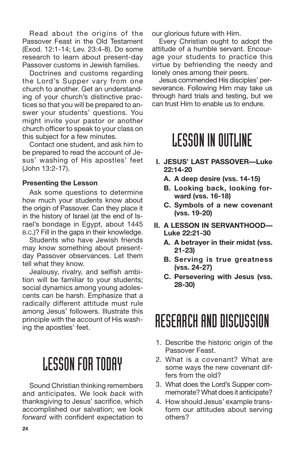Read about the origins of the Passover Feast in the Old Testament (Exod. 12:1-14; Lev. 23:4-8). Do some research to learn about present-day Passover customs in Jewish families.

Doctrines and customs regarding the Lord's Supper vary from one church to another. Get an understanding of your church's distinctive practices so that you will be prepared to answer your students' questions. You might invite your pastor or another church officer to speak to your class on this subject for a few minutes.

Contact one student, and ask him to be prepared to read the account of Jesus' washing of His apostles' feet (John 13:2-17).

#### **Presenting the Lesson**

Ask some questions to determine how much your students know about the origin of Passover. Can they place it in the history of Israel (at the end of Israel's bondage in Egypt, about 1445 B.C.)? Fill in the gaps in their knowledge.

Students who have Jewish friends may know something about presentday Passover observances. Let them tell what they know.

Jealousy, rivalry, and selfish ambition will be familiar to your students; social dynamics among young adolescents can be harsh. Emphasize that a radically different attitude must rule among Jesus' followers. Illustrate this principle with the account of His washing the apostles' feet.

### **LESSON FOR TODAY**

Sound Christian thinking remembers and anticipates. We look *back* with thanksgiving to Jesus' sacrifice, which accomplished our salvation; we look *forward* with confident expectation to our glorious future with Him.

Every Christian ought to adopt the attitude of a humble servant. Encourage your students to practice this virtue by befriending the needy and lonely ones among their peers.

Jesus commended His disciples' perseverance. Following Him may take us through hard trials and testing, but we can trust Him to enable us to endure.

### **LESSON IN OUTLINE**

- **I. JESUS' LAST PASSOVER—Luke 22:14-20**
	- **A. A deep desire (vss. 14-15)**
	- **B. Looking back, looking forward (vss. 16-18)**
	- **C. Symbols of a new covenant (vss. 19-20)**
- **II. A LESSON IN SERVANTHOOD— Luke 22:21-30**
	- **A. A betrayer in their midst (vss. 21-23)**
	- **B. Serving is true greatness (vss. 24-27)**
	- **C. Persevering with Jesus (vss. 28-30)**

### RESEARCH AND DISCUSSION

- 1. Describe the historic origin of the Passover Feast.
- 2. What is a covenant? What are some ways the new covenant differs from the old?
- 3. What does the Lord's Supper commemorate? What does it anticipate?
- 4. How should Jesus' example transform our attitudes about serving others?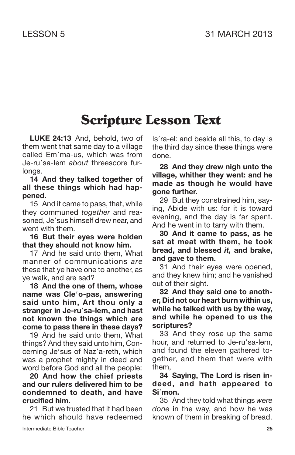### **Scripture Lesson Text**

**LUKE 24:13** And, behold, two of them went that same day to a village called Em'ma-us, which was from Je-ru'sa-lem *about* threescore furlongs.

**14 And they talked together of all these things which had happened.**

15 And it came to pass, that, while they communed *together* and reasoned, Je'sus himself drew near, and went with them.

**16 But their eyes were holden that they should not know him.**

17 And he said unto them, What manner of communications *are* these that ye have one to another, as ye walk, and are sad?

**18 And the one of them, whose name was Cleo-pas, answering said unto him, Art thou only a stranger in Je-rusa-lem, and hast not known the things which are come to pass there in these days?**

19 And he said unto them, What things? And they said unto him, Concerning Je'sus of Naz'a-reth, which was a prophet mighty in deed and word before God and all the people:

**20 And how the chief priests and our rulers delivered him to be condemned to death, and have crucified him.**

21 But we trusted that it had been he which should have redeemed

Is'ra-el: and beside all this, to day is the third day since these things were done.

**28 And they drew nigh unto the village, whither they went: and he made as though he would have gone further.**

29 But they constrained him, saying, Abide with us: for it is toward evening, and the day is far spent. And he went in to tarry with them.

**30 And it came to pass, as he sat at meat with them, he took bread, and blessed** *it,* **and brake, and gave to them.**

31 And their eyes were opened, and they knew him; and he vanished out of their sight.

**32 And they said one to another, Did not our heart burn within us, while he talked with us by the way, and while he opened to us the scriptures?**

33 And they rose up the same hour, and returned to Je-ru'sa-lem. and found the eleven gathered together, and them that were with them,

**34 Saying, The Lord is risen indeed, and hath appeared to Simon.**

35 And they told what things *were done* in the way, and how he was known of them in breaking of bread.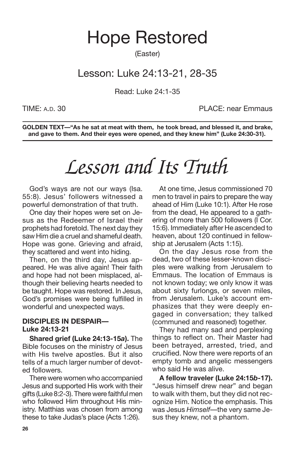### Hope Restored

(Easter)

### Lesson: Luke 24:13-21, 28-35

Read: Luke 24:1-35

TIME: A.D. 30 PLACE: near Emmaus

**GOLDEN TEXT—"As he sat at meat with them, he took bread, and blessed it, and brake, and gave to them. And their eyes were opened, and they knew him" (Luke 24:30-31).**

# *Lesson and Its Truth*

God's ways are not our ways (Isa. 55:8). Jesus' followers witnessed a powerful demonstration of that truth.

One day their hopes were set on Jesus as the Redeemer of Israel their prophets had foretold. The next day they saw Him die a cruel and shameful death. Hope was gone. Grieving and afraid, they scattered and went into hiding.

Then, on the third day, Jesus appeared. He was alive again! Their faith and hope had not been misplaced, although their believing hearts needed to be taught. Hope was restored. In Jesus, God's promises were being fulfilled in wonderful and unexpected ways.

#### **DISCIPLES IN DESPAIR— Luke 24:13-21**

**Shared grief (Luke 24:13-15***a***).** The Bible focuses on the ministry of Jesus with His twelve apostles. But it also tells of a much larger number of devoted followers.

There were women who accompanied Jesus and supported His work with their gifts (Luke 8:2-3). There were faithful men who followed Him throughout His ministry. Matthias was chosen from among these to take Judas's place (Acts 1:26).

At one time, Jesus commissioned 70 men to travel in pairs to prepare the way ahead of Him (Luke 10:1). After He rose from the dead, He appeared to a gathering of more than 500 followers (I Cor. 15:6). Immediately after He ascended to heaven, about 120 continued in fellowship at Jerusalem (Acts 1:15).

On the day Jesus rose from the dead, two of these lesser-known disciples were walking from Jerusalem to Emmaus. The location of Emmaus is not known today; we only know it was about sixty furlongs, or seven miles, from Jerusalem. Luke's account emphasizes that they were deeply engaged in conversation; they talked (communed and reasoned) together.

They had many sad and perplexing things to reflect on. Their Master had been betrayed, arrested, tried, and crucified. Now there were reports of an empty tomb and angelic messengers who said He was alive.

**A fellow traveler (Luke 24:15***b***-17).** "Jesus himself drew near" and began to walk with them, but they did not recognize Him. Notice the emphasis. This was Jesus *Himself*—the very same Jesus they knew, not a phantom.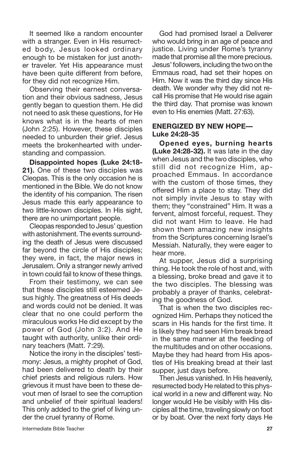It seemed like a random encounter with a stranger. Even in His resurrected body, Jesus looked ordinary enough to be mistaken for just another traveler. Yet His appearance must have been quite different from before, for they did not recognize Him.

Observing their earnest conversation and their obvious sadness, Jesus gently began to question them. He did not need to ask these questions, for He knows what is in the hearts of men (John 2:25). However, these disciples needed to unburden their grief. Jesus meets the brokenhearted with understanding and compassion.

**Disappointed hopes (Luke 24:18- 21).** One of these two disciples was Cleopas. This is the only occasion he is mentioned in the Bible. We do not know the identity of his companion. The risen Jesus made this early appearance to two little-known disciples. In His sight, there are no unimportant people.

Cleopas responded to Jesus' question with astonishment. The events surrounding the death of Jesus were discussed far beyond the circle of His disciples; they were, in fact, the major news in Jerusalem. Only a stranger newly arrived in town could fail to know of these things.

From their testimony, we can see that these disciples still esteemed Jesus highly. The greatness of His deeds and words could not be denied. It was clear that no one could perform the miraculous works He did except by the power of God (John 3:2). And He taught with authority, unlike their ordinary teachers (Matt. 7:29).

Notice the irony in the disciples' testimony: Jesus, a mighty prophet of God, had been delivered to death by their chief priests and religious rulers. How grievous it must have been to these devout men of Israel to see the corruption and unbelief of their spiritual leaders! This only added to the grief of living under the cruel tyranny of Rome.

God had promised Israel a Deliverer who would bring in an age of peace and justice. Living under Rome's tyranny made that promise all the more precious. Jesus'followers, includingthe twoon the Emmaus road, had set their hopes on Him. Now it was the third day since His death. We wonder why they did not recall His promise that He would rise again the third day. That promise was known even to His enemies (Matt. 27:63).

#### **ENERGIZED BY NEW HOPE— Luke 24:28-35**

**Opened eyes, burning hearts (Luke 24:28-32).** It was late in the day when Jesus and the two disciples, who still did not recognize Him, approached Emmaus. In accordance with the custom of those times, they offered Him a place to stay. They did not simply invite Jesus to stay with them; they "constrained" Him. It was a fervent, almost forceful, request. They did not want Him to leave. He had shown them amazing new insights from the Scriptures concerning Israel's Messiah. Naturally, they were eager to hear more.

At supper, Jesus did a surprising thing. He took the role of host and, with a blessing, broke bread and gave it to the two disciples. The blessing was probably a prayer of thanks, celebrating the goodness of God.

That is when the two disciples recognized Him. Perhaps they noticed the scars in His hands for the first time. It is likely they had seen Him break bread in the same manner at the feeding of the multitudes and on other occasions. Maybe they had heard from His apostles of His breaking bread at their last supper, just days before.

Then Jesus vanished. In His heavenly, resurrected body He related to this physical world in a new and different way. No longer would He be visibly with His disciples all the time, traveling slowly on foot or by boat. Over the next forty days He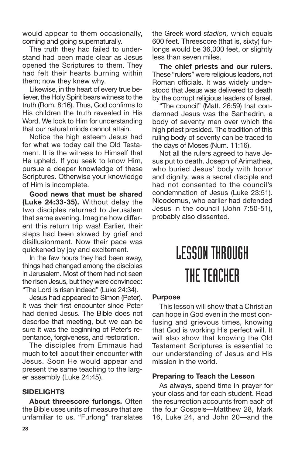would appear to them occasionally, coming and going supernaturally.

The truth they had failed to understand had been made clear as Jesus opened the Scriptures to them. They had felt their hearts burning within them; now they knew why.

Likewise, in the heart of every true believer, the Holy Spirit bears witness to the truth (Rom. 8:16). Thus, God confirms to His children the truth revealed in His Word. We look to Him for understanding that our natural minds cannot attain.

Notice the high esteem Jesus had for what we today call the Old Testament. It is the witness to Himself that He upheld. If you seek to know Him, pursue a deeper knowledge of these Scriptures. Otherwise your knowledge of Him is incomplete.

**Good news that must be shared (Luke 24:33-35).** Without delay the two disciples returned to Jerusalem that same evening. Imagine how different this return trip was! Earlier, their steps had been slowed by grief and disillusionment. Now their pace was quickened by joy and excitement.

In the few hours they had been away, things had changed among the disciples in Jerusalem. Most of them had not seen the risen Jesus, but they were convinced: "The Lord is risen indeed" (Luke 24:34).

Jesus had appeared to Simon (Peter). It was their first encounter since Peter had denied Jesus. The Bible does not describe that meeting, but we can be sure it was the beginning of Peter's repentance, forgiveness, and restoration.

The disciples from Emmaus had much to tell about their encounter with Jesus. Soon He would appear and present the same teaching to the larger assembly (Luke 24:45).

#### **SIDELIGHTS**

**About threescore furlongs.** Often the Bible uses units of measure that are unfamiliar to us. "Furlong" translates the Greek word *stadion,* which equals 600 feet. Threescore (that is, sixty) furlongs would be 36,000 feet, or slightly less than seven miles.

**The chief priests and our rulers.** These "rulers" were religious leaders, not Roman officials. It was widely understood that Jesus was delivered to death by the corrupt religious leaders of Israel.

"The council" (Matt. 26:59) that condemned Jesus was the Sanhedrin, a body of seventy men over which the high priest presided. The tradition of this ruling body of seventy can be traced to the days of Moses (Num. 11:16).

Not all the rulers agreed to have Jesus put to death. Joseph of Arimathea, who buried Jesus' body with honor and dignity, was a secret disciple and had not consented to the council's condemnation of Jesus (Luke 23:51). Nicodemus, who earlier had defended Jesus in the council (John 7:50-51), probably also dissented.

## LESSONTHROUGH THE TEACHER

#### **Purpose**

This lesson will show that a Christian can hope in God even in the most confusing and grievous times, knowing that God is working His perfect will. It will also show that knowing the Old Testament Scriptures is essential to our understanding of Jesus and His mission in the world.

#### **Preparing to Teach the Lesson**

As always, spend time in prayer for your class and for each student. Read the resurrection accounts from each of the four Gospels—Matthew 28, Mark 16, Luke 24, and John 20—and the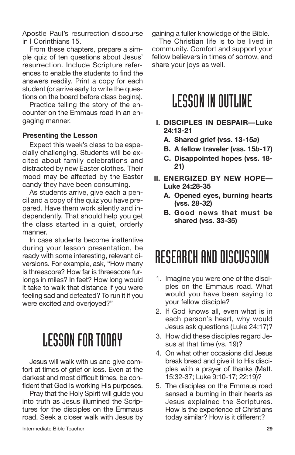Apostle Paul's resurrection discourse in I Corinthians 15.

From these chapters, prepare a simple quiz of ten questions about Jesus' resurrection. Include Scripture references to enable the students to find the answers readily. Print a copy for each student (or arrive early to write the questions on the board before class begins).

Practice telling the story of the encounter on the Emmaus road in an engaging manner.

#### **Presenting the Lesson**

Expect this week's class to be especially challenging. Students will be excited about family celebrations and distracted by new Easter clothes. Their mood may be affected by the Easter candy they have been consuming.

As students arrive, give each a pencil and a copy of the quiz you have prepared. Have them work silently and independently. That should help you get the class started in a quiet, orderly manner.

In case students become inattentive during your lesson presentation, be ready with some interesting, relevant diversions. For example, ask, "How many is threescore? How far is threescore furlongs in miles? In feet? How long would it take to walk that distance if you were feeling sad and defeated? To run it if you were excited and overjoyed?"

### LESSONFORTODAY

Jesus will walk with us and give comfort at times of grief or loss. Even at the darkest and most difficult times, be confident that God is working His purposes.

Pray that the Holy Spirit will guide you into truth as Jesus illumined the Scriptures for the disciples on the Emmaus road. Seek a closer walk with Jesus by gaining a fuller knowledge of the Bible.

The Christian life is to be lived in community. Comfort and support your fellow believers in times of sorrow, and share your joys as well.

### **LESSON IN OUTLINE**

- **I. DISCIPLES IN DESPAIR—Luke 24:13-21**
	- **A. Shared grief (vss. 13-15***a***)**
	- **B. A fellow traveler (vss. 15***b***-17)**
	- **C. Disappointed hopes (vss. 18- 21)**
- **II. ENERGIZED BY NEW HOPE— Luke 24:28-35**
	- **A. Opened eyes, burning hearts (vss. 28-32)**
	- **B. Good news that must be shared (vss. 33-35)**

### RESEARCH AND DISCUSSION

- 1. Imagine you were one of the disciples on the Emmaus road. What would you have been saying to your fellow disciple?
- 2. If God knows all, even what is in each person's heart, why would Jesus ask questions (Luke 24:17)?
- 3. How did these disciples regard Jesus at that time (vs. 19)?
- 4. On what other occasions did Jesus break bread and give it to His disciples with a prayer of thanks (Matt. 15:32-37; Luke 9:10-17; 22:19)?
- 5. The disciples on the Emmaus road sensed a burning in their hearts as Jesus explained the Scriptures. How is the experience of Christians today similar? How is it different?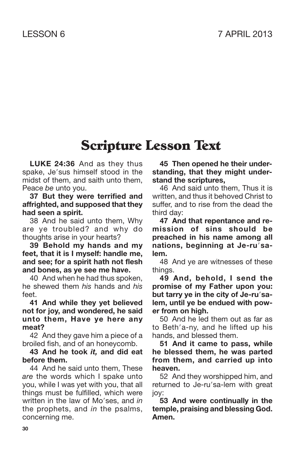### **Scripture Lesson Text**

**LUKE 24:36** And as they thus spake, Je'sus himself stood in the midst of them, and saith unto them, Peace *be* unto you.

**37 But they were terrified and affrighted, and supposed that they had seen a spirit.**

38 And he said unto them, Why are ye troubled? and why do thoughts arise in your hearts?

**39 Behold my hands and my feet, that it is I myself: handle me, and see; for a spirit hath not flesh and bones, as ye see me have.**

40 And when he had thus spoken, he shewed them *his* hands and *his* feet.

**41 And while they yet believed not for joy, and wondered, he said unto them, Have ye here any meat?**

42 And they gave him a piece of a broiled fish, and of an honeycomb.

**43 And he took** *it,* **and did eat before them.**

44 And he said unto them, These *are* the words which I spake unto you, while I was yet with you, that all things must be fulfilled, which were written in the law of Mo'ses, and *in* the prophets, and *in* the psalms, concerning me.

**45 Then opened he their understanding, that they might understand the scriptures,**

46 And said unto them, Thus it is written, and thus it behoved Christ to suffer, and to rise from the dead the third day:

**47 And that repentance and remission of sins should be preached in his name among all nations, beginning at Je-rusalem.**

48 And ye are witnesses of these things.

**49 And, behold, I send the promise of my Father upon you: but tarry ye in the city of Je-rusalem, until ye be endued with power from on high.**

50 And he led them out as far as to Beth'a-ny, and he lifted up his hands, and blessed them.

**51 And it came to pass, while he blessed them, he was parted from them, and carried up into heaven.**

52 And they worshipped him, and returned to Je-ru'sa-lem with great joy:

**53 And were continually in the temple, praising and blessing God. Amen.**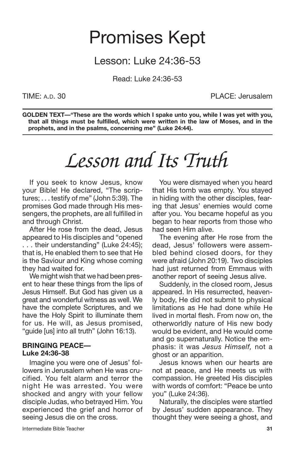### Promises Kept

### Lesson: Luke 24:36-53

Read: Luke 24:36-53

TIME: A.D. 30 PLACE: Jerusalem

**GOLDEN TEXT—"These are the words which I spake unto you, while I was yet with you, that all things must be fulfilled, which were written in the law of Moses, and in the prophets, and in the psalms, concerning me" (Luke 24:44).**

## *Lesson and Its Truth*

If you seek to know Jesus, know your Bible! He declared, "The scriptures; . . . testify of me" (John 5:39). The promises God made through His messengers, the prophets, are all fulfilled in and through Christ.

After He rose from the dead, Jesus appeared to His disciples and "opened . . . their understanding" (Luke 24:45); that is, He enabled them to see that He is the Saviour and King whose coming they had waited for.

We might wish that we had been present to hear these things from the lips of Jesus Himself. But God has given us a great and wonderful witness as well. We have the complete Scriptures, and we have the Holy Spirit to illuminate them for us. He will, as Jesus promised, "guide [us] into all truth" (John 16:13).

#### **BRINGING PEACE— Luke 24:36-38**

Imagine you were one of Jesus' followers in Jerusalem when He was crucified. You felt alarm and terror the night He was arrested. You were shocked and angry with your fellow disciple Judas, who betrayed Him. You experienced the grief and horror of seeing Jesus die on the cross.

You were dismayed when you heard that His tomb was empty. You stayed in hiding with the other disciples, fearing that Jesus' enemies would come after you. You became hopeful as you began to hear reports from those who had seen Him alive.

The evening after He rose from the dead, Jesus' followers were assembled behind closed doors, for they were afraid (John 20:19). Two disciples had just returned from Emmaus with another report of seeing Jesus alive.

Suddenly, in the closed room, Jesus appeared. In His resurrected, heavenly body, He did not submit to physical limitations as He had done while He lived in mortal flesh. From now on, the otherworldly nature of His new body would be evident, and He would come and go supernaturally. Notice the emphasis: it was *Jesus Himself,* not a ghost or an apparition.

Jesus knows when our hearts are not at peace, and He meets us with compassion. He greeted His disciples with words of comfort: "Peace be unto you" (Luke 24:36).

Naturally, the disciples were startled by Jesus' sudden appearance. They thought they were seeing a ghost, and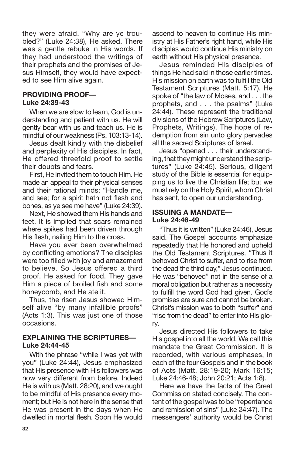they were afraid. "Why are ye troubled?" (Luke 24:38), He asked. There was a gentle rebuke in His words. If they had understood the writings of their prophets and the promises of Jesus Himself, they would have expected to see Him alive again.

#### **PROVIDING PROOF— Luke 24:39-43**

When we are slow to learn, God is understanding and patient with us. He will gently bear with us and teach us. He is mindful of our weakness (Ps. 103:13-14).

Jesus dealt kindly with the disbelief and perplexity of His disciples. In fact, He offered threefold proof to settle their doubts and fears.

First, He invited them to touch Him. He made an appeal to their physical senses and their rational minds: "Handle me, and see; for a spirit hath not flesh and bones, as ye see me have" (Luke 24:39).

Next, He showed them His hands and feet. It is implied that scars remained where spikes had been driven through His flesh, nailing Him to the cross.

Have you ever been overwhelmed by conflicting emotions? The disciples were too filled with joy and amazement to believe. So Jesus offered a third proof. He asked for food. They gave Him a piece of broiled fish and some honeycomb, and He ate it.

Thus, the risen Jesus showed Himself alive "by many infallible proofs" (Acts 1:3). This was just one of those occasions.

#### **EXPLAINING THE SCRIPTURES— Luke 24:44-45**

With the phrase "while I was yet with you" (Luke 24:44), Jesus emphasized that His presence with His followers was now very different from before. Indeed He is with us (Matt. 28:20), and we ought to be mindful of His presence every moment; but He is not here in the sense that He was present in the days when He dwelled in mortal flesh. Soon He would ascend to heaven to continue His ministry at His Father's right hand, while His disciples would continue His ministry on earth without His physical presence.

Jesus reminded His disciples of things He had said in those earlier times. His mission on earth was to fulfill the Old Testament Scriptures (Matt. 5:17). He spoke of "the law of Moses, and . . . the prophets, and . . . the psalms" (Luke 24:44). These represent the traditional divisions of the Hebrew Scriptures (Law, Prophets, Writings). The hope of redemption from sin unto glory pervades all the sacred Scriptures of Israel.

Jesus "opened . . . their understanding, that they might understand the scriptures" (Luke 24:45). Serious, diligent study of the Bible is essential for equipping us to live the Christian life; but we must rely on the Holy Spirit, whom Christ has sent, to open our understanding.

#### **ISSUING A MANDATE— Luke 24:46-49**

"Thus it is written" (Luke 24:46), Jesus said. The Gospel accounts emphasize repeatedly that He honored and upheld the Old Testament Scriptures. "Thus it behoved Christ to suffer, and to rise from the dead the third day," Jesus continued. He was "behoved" not in the sense of a moral obligation but rather as a necessity to fulfill the word God had given. God's promises are sure and cannot be broken. Christ's mission was to both "suffer" and "rise from the dead" to enter into His glory.

Jesus directed His followers to take His gospel into all the world. We call this mandate the Great Commission. It is recorded, with various emphases, in each of the four Gospels and in the book of Acts (Matt. 28:19-20; Mark 16:15; Luke 24:46-48; John 20:21; Acts 1:8).

Here we have the facts of the Great Commission stated concisely. The content of the gospel was to be "repentance and remission of sins" (Luke 24:47). The messengers' authority would be Christ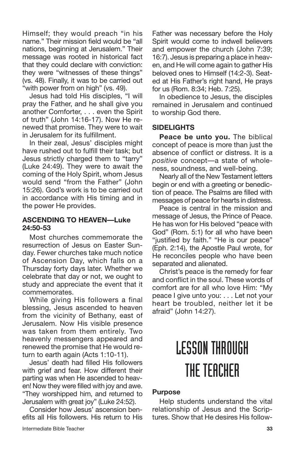Himself; they would preach "in his name." Their mission field would be "all nations, beginning at Jerusalem." Their message was rooted in historical fact that they could declare with conviction: they were "witnesses of these things" (vs. 48). Finally, it was to be carried out "with power from on high" (vs. 49).

Jesus had told His disciples, "I will pray the Father, and he shall give you another Comforter, . . . even the Spirit of truth" (John 14:16-17). Now He renewed that promise. They were to wait in Jerusalem for its fulfillment.

In their zeal, Jesus' disciples might have rushed out to fulfill their task; but Jesus strictly charged them to "tarry" (Luke 24:49). They were to await the coming of the Holy Spirit, whom Jesus would send "from the Father" (John 15:26). God's work is to be carried out in accordance with His timing and in the power He provides.

#### **ASCENDING TO HEAVEN—Luke 24:50-53**

Most churches commemorate the resurrection of Jesus on Easter Sunday. Fewer churches take much notice of Ascension Day, which falls on a Thursday forty days later. Whether we celebrate that day or not, we ought to study and appreciate the event that it commemorates.

While giving His followers a final blessing, Jesus ascended to heaven from the vicinity of Bethany, east of Jerusalem. Now His visible presence was taken from them entirely. Two heavenly messengers appeared and renewed the promise that He would return to earth again (Acts 1:10-11).

Jesus' death had filled His followers with grief and fear. How different their parting was when He ascended to heaven! Now they were filled with joy and awe. "They worshipped him, and returned to Jerusalem with great joy" (Luke 24:52).

Consider how Jesus' ascension benefits all His followers. His return to His Father was necessary before the Holy Spirit would come to indwell believers and empower the church (John 7:39; 16:7). Jesus is preparing a place in heaven, and He will come again to gather His beloved ones to Himself (14:2-3). Seated at His Father's right hand, He prays for us (Rom. 8:34; Heb. 7:25).

In obedience to Jesus, the disciples remained in Jerusalem and continued to worship God there.

#### **SIDELIGHTS**

**Peace be unto you.** The biblical concept of peace is more than just the absence of conflict or distress. It is a *positive* concept—a state of wholeness, soundness, and well-being.

Nearly all of the New Testament letters begin or end with a greeting or benediction of peace. The Psalms are filled with messages of peace for hearts in distress.

Peace is central in the mission and message of Jesus, the Prince of Peace. He has won for His beloved "peace with God" (Rom. 5:1) for all who have been "justified by faith." "He is our peace" (Eph. 2:14), the Apostle Paul wrote, for He reconciles people who have been separated and alienated.

Christ's peace is the remedy for fear and conflict in the soul. These words of comfort are for all who love Him: "My peace I give unto you: . . . Let not your heart be troubled, neither let it be afraid" (John 14:27).

# LESSONTHROUGH THE TEACHER

#### **Purpose**

Help students understand the vital relationship of Jesus and the Scriptures. Show that He desires His follow-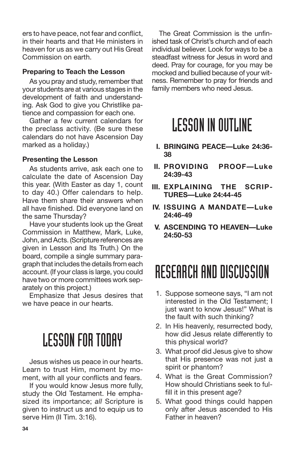ers to have peace, not fear and conflict, in their hearts and that He ministers in heaven for us as we carry out His Great Commission on earth.

#### **Preparing to Teach the Lesson**

As you pray and study, remember that your students are at various stages in the development of faith and understanding. Ask God to give you Christlike patience and compassion for each one.

Gather a few current calendars for the preclass activity. (Be sure these calendars do not have Ascension Day marked as a holiday.)

#### **Presenting the Lesson**

As students arrive, ask each one to calculate the date of Ascension Day this year. (With Easter as day 1, count to day 40.) Offer calendars to help. Have them share their answers when all have finished. Did everyone land on the same Thursday?

Have your students look up the Great Commission in Matthew, Mark, Luke, John, and Acts. (Scripture references are given in Lesson and Its Truth.) On the board, compile a single summary paragraph that includes the details from each account. (If your class is large, you could have two or more committees work separately on this project.)

Emphasize that Jesus desires that we have peace in our hearts.

### **LESSON FOR TODAY**

Jesus wishes us peace in our hearts. Learn to trust Him, moment by moment, with all your conflicts and fears.

If you would know Jesus more fully, study the Old Testament. He emphasized its importance; *all* Scripture is given to instruct us and to equip us to serve Him (II Tim. 3:16).

The Great Commission is the unfinished task of Christ's church and of each individual believer. Look for ways to be a steadfast witness for Jesus in word and deed. Pray for courage, for you may be mocked and bullied because of your witness. Remember to pray for friends and family members who need Jesus.

### **LESSON IN OUTLINE**

- **I. BRINGING PEACE—Luke 24:36- 38**
- **II. PROVIDING PROOF—Luke 24:39-43**
- **III. EXPLAINING THE SCRIP-TURES—Luke 24:44-45**
- **IV. ISSUING A MANDATE—Luke 24:46-49**
- **V. ASCENDING TO HEAVEN—Luke 24:50-53**

### RESEARCH AND DISCUSSION

- 1. Suppose someone says, "I am not interested in the Old Testament; I just want to know Jesus!" What is the fault with such thinking?
- 2. In His heavenly, resurrected body, how did Jesus relate differently to this physical world?
- 3. What proof did Jesus give to show that His presence was not just a spirit or phantom?
- 4. What is the Great Commission? How should Christians seek to fulfill it in this present age?
- 5. What good things could happen only after Jesus ascended to His Father in heaven?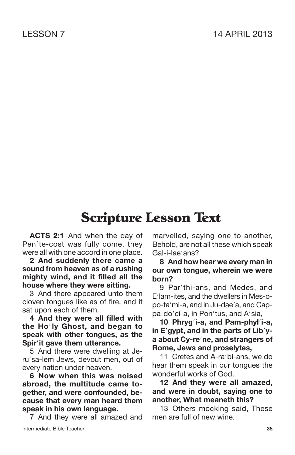### **Scripture Lesson Text**

**ACTS 2:1** And when the day of Pen'te-cost was fully come, they were all with one accord in one place.

**2 And suddenly there came a sound from heaven as of a rushing mighty wind, and it filled all the house where they were sitting.**

3 And there appeared unto them cloven tongues like as of fire, and it sat upon each of them.

**4 And they were all filled with the Holy Ghost, and began to speak with other tongues, as the Spirit gave them utterance.**

5 And there were dwelling at Jeru'sa-lem Jews, devout men, out of every nation under heaven.

**6 Now when this was noised abroad, the multitude came together, and were confounded, because that every man heard them speak in his own language.**

Intermediate Bible Teacher **35** 7 And they were all amazed and

marvelled, saying one to another, Behold, are not all these which speak Gal-i-lae'ans?

#### **8 And how hear we every man in our own tongue, wherein we were born?**

9 Par'thi-ans, and Medes, and E'lam-ites, and the dwellers in Mes-opo-ta'mi-a, and in Ju-dae'a, and Cappa-do'ci-a, in Pon'tus, and A'sia.

**10 Phrygi-a, and Pam-phyli-a, in Egypt, and in the parts of Libya about Cy-rene, and strangers of Rome, Jews and proselytes,**

11 Cretes and A-ra'bi-ans, we do hear them speak in our tongues the wonderful works of God.

**12 And they were all amazed, and were in doubt, saying one to another, What meaneth this?**

13 Others mocking said, These men are full of new wine.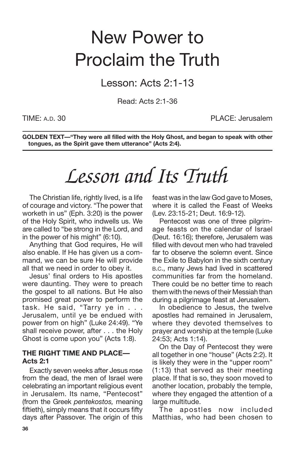## New Power to Proclaim the Truth

Lesson: Acts 2:1-13

Read: Acts 2:1-36

TIME: A.D. 30 PLACE: Jerusalem

**GOLDEN TEXT—"They were all filled with the Holy Ghost, and began to speak with other tongues, as the Spirit gave them utterance" (Acts 2:4).**

# *Lesson and Its Truth*

The Christian life, rightly lived, is a life of courage and victory. "The power that worketh in us" (Eph. 3:20) is the power of the Holy Spirit, who indwells us. We are called to "be strong in the Lord, and in the power of his might" (6:10).

Anything that God requires, He will also enable. If He has given us a command, we can be sure He will provide all that we need in order to obey it.

Jesus' final orders to His apostles were daunting. They were to preach the gospel to all nations. But He also promised great power to perform the task. He said, "Tarry ye in . . . Jerusalem, until ye be endued with power from on high" (Luke 24:49). "Ye shall receive power, after . . . the Holy Ghost is come upon you" (Acts 1:8).

#### **THE RIGHT TIME AND PLACE— Acts 2:1**

Exactly seven weeks after Jesus rose from the dead, the men of Israel were celebrating an important religious event in Jerusalem. Its name, "Pentecost" (from the Greek *pentekostos,* meaning fiftieth), simply means that it occurs fifty days after Passover. The origin of this feast was in the law God gave to Moses, where it is called the Feast of Weeks (Lev. 23:15-21; Deut. 16:9-12).

Pentecost was one of three pilgrimage feasts on the calendar of Israel (Deut. 16:16); therefore, Jerusalem was filled with devout men who had traveled far to observe the solemn event. Since the Exile to Babylon in the sixth century B.C., many Jews had lived in scattered communities far from the homeland. There could be no better time to reach them with the news of their Messiah than during a pilgrimage feast at Jerusalem.

In obedience to Jesus, the twelve apostles had remained in Jerusalem, where they devoted themselves to prayer and worship at the temple (Luke 24:53; Acts 1:14).

On the Day of Pentecost they were all together in one "house" (Acts 2:2). It is likely they were in the "upper room" (1:13) that served as their meeting place. If that is so, they soon moved to another location, probably the temple, where they engaged the attention of a large multitude.

The apostles now included Matthias, who had been chosen to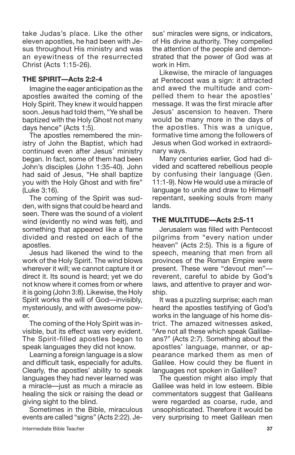take Judas's place. Like the other eleven apostles, he had been with Jesus throughout His ministry and was an eyewitness of the resurrected Christ (Acts 1:15-26).

#### **THE SPIRIT—Acts 2:2-4**

Imagine the eager anticipation as the apostles awaited the coming of the Holy Spirit. They knew it would happen soon. Jesus had told them, "Ye shall be baptized with the Holy Ghost not many days hence" (Acts 1:5).

The apostles remembered the ministry of John the Baptist, which had continued even after Jesus' ministry began. In fact, some of them had been John's disciples (John 1:35-40). John had said of Jesus, "He shall baptize you with the Holy Ghost and with fire" (Luke 3:16).

The coming of the Spirit was sudden, with signs that could be heard and seen. There was the sound of a violent wind (evidently no wind was felt), and something that appeared like a flame divided and rested on each of the apostles.

Jesus had likened the wind to the work of the Holy Spirit. The wind blows wherever it will; we cannot capture it or direct it. Its sound is heard; yet we do not know where it comes from or where it is going (John 3:8). Likewise, the Holy Spirit works the will of God—invisibly, mysteriously, and with awesome power.

The coming of the Holy Spirit was invisible, but its effect was very evident. The Spirit-filled apostles began to speak languages they did not know.

Learning a foreign language is a slow and difficult task, especially for adults. Clearly, the apostles' ability to speak languages they had never learned was a miracle—just as much a miracle as healing the sick or raising the dead or giving sight to the blind.

Sometimes in the Bible, miraculous events are called "signs" (Acts 2:22). Jesus' miracles were signs, or indicators, of His divine authority. They compelled the attention of the people and demonstrated that the power of God was at work in Him.

Likewise, the miracle of languages at Pentecost was a sign: it attracted and awed the multitude and compelled them to hear the apostles' message. It was the first miracle after Jesus' ascension to heaven. There would be many more in the days of the apostles. This was a unique, formative time among the followers of Jesus when God worked in extraordinary ways.

Many centuries earlier, God had divided and scattered rebellious people by confusing their language (Gen. 11:1-9). Now He would use a miracle of language to unite and draw to Himself repentant, seeking souls from many lands.

#### **THE MULTITUDE—Acts 2:5-11**

Jerusalem was filled with Pentecost pilgrims from "every nation under heaven" (Acts 2:5). This is a figure of speech, meaning that men from all provinces of the Roman Empire were present. These were "devout men" reverent, careful to abide by God's laws, and attentive to prayer and worship.

It was a puzzling surprise; each man heard the apostles testifying of God's works in the language of his home district. The amazed witnesses asked, "Are not all these which speak Galilaeans?" (Acts 2:7). Something about the apostles' language, manner, or appearance marked them as men of Galilee. How could they be fluent in languages not spoken in Galilee?

The question might also imply that Galilee was held in low esteem. Bible commentators suggest that Galileans were regarded as coarse, rude, and unsophisticated. Therefore it would be very surprising to meet Galilean men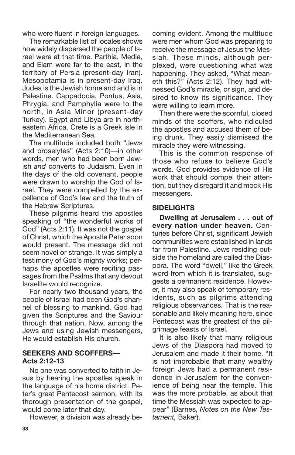who were fluent in foreign languages.

The remarkable list of locales shows how widely dispersed the people of Israel were at that time. Parthia, Media, and Elam were far to the east, in the territory of Persia (present-day Iran). Mesopotamia is in present-day Iraq. Judea is the Jewish homeland and is in Palestine. Cappadocia, Pontus, Asia, Phrygia, and Pamphylia were to the north, in Asia Minor (present-day Turkey). Egypt and Libya are in northeastern Africa. Crete is a Greek isle in the Mediterranean Sea.

The multitude included both "Jews and proselytes" (Acts 2:10)—in other words, men who had been born Jewish *and* converts to Judaism. Even in the days of the old covenant, people were drawn to worship the God of Israel. They were compelled by the excellence of God's law and the truth of the Hebrew Scriptures.

These pilgrims heard the apostles speaking of "the wonderful works of God" (Acts 2:11). It was not the gospel of Christ, which the Apostle Peter soon would present. The message did not seem novel or strange. It was simply a testimony of God's mighty works; perhaps the apostles were reciting passages from the Psalms that any devout Israelite would recognize.

For nearly two thousand years, the people of Israel had been God's channel of blessing to mankind. God had given the Scriptures and the Saviour through that nation. Now, among the Jews and using Jewish messengers, He would establish His church.

#### **SEEKERS AND SCOFFERS— Acts 2:12-13**

No one was converted to faith in Jesus by hearing the apostles speak in the language of his home district. Peter's great Pentecost sermon, with its thorough presentation of the gospel, would come later that day.

However, a division was already be-

coming evident. Among the multitude were men whom God was preparing to receive the message of Jesus the Messiah. These minds, although perplexed, were questioning what was happening. They asked, "What meaneth this?" (Acts 2:12). They had witnessed God's miracle, or sign, and desired to know its significance. They were willing to learn more.

Then there were the scornful, closed minds of the scoffers, who ridiculed the apostles and accused them of being drunk. They easily dismissed the miracle they were witnessing.

This is the common response of those who refuse to believe God's words. God provides evidence of His work that should compel their attention, but they disregard it and mock His messengers.

#### **SIDELIGHTS**

**Dwelling at Jerusalem . . . out of every nation under heaven.** Centuries before Christ, significant Jewish communities were established in lands far from Palestine. Jews residing outside the homeland are called the Diaspora. The word "dwell," like the Greek word from which it is translated, suggests a permanent residence. However, it may also speak of temporary residents, such as pilgrims attending religious observances. That is the reasonable and likely meaning here, since Pentecost was the greatest of the pilgrimage feasts of Israel.

It is also likely that many religious Jews of the Diaspora had moved to Jerusalem and made it their home. "It is not improbable that many wealthy foreign Jews had a permanent residence in Jerusalem for the convenience of being near the temple. This was the more probable, as about that time the Messiah was expected to appear" (Barnes, *Notes on the New Testament,* Baker).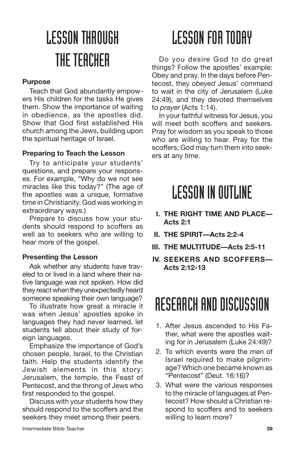# LESSONTHROUGH THE TEACHER

#### **Purpose**

Teach that God abundantly empowers His children for the tasks He gives them. Show the importance of waiting in obedience, as the apostles did. Show that God first established His church among the Jews, building upon the spiritual heritage of Israel.

#### **Preparing to Teach the Lesson**

Try to anticipate your students' questions, and prepare your responses. For example, "Why do we not see miracles like this today?" (The age of the apostles was a unique, formative time in Christianity. God was working in extraordinary ways.)

Prepare to discuss how your students should respond to scoffers as well as to seekers who are willing to hear more of the gospel.

#### **Presenting the Lesson**

Ask whether any students have traveled to or lived in a land where their native language was not spoken. How did they react when they unexpectedly heard someone speaking their own language?

To illustrate how great a miracle it was when Jesus' apostles spoke in languages they had never learned, let students tell about their study of foreign languages.

Emphasize the importance of God's chosen people, Israel, to the Christian faith. Help the students identify the Jewish elements in this story: Jerusalem, the temple, the Feast of Pentecost, and the throng of Jews who first responded to the gospel.

Discuss with your students how they should respond to the scoffers and the seekers they meet among their peers.

## **LESSON FOR TODAY**

Do you desire God to do great things? Follow the apostles' example: Obey and pray. In the days before Pentecost, they *obeyed* Jesus' command to wait in the city of Jerusalem (Luke 24:49), and they devoted themselves to *prayer* (Acts 1:14).

In your faithful witness for Jesus, you will meet both scoffers and seekers. Pray for wisdom as you speak to those who are willing to hear. Pray for the scoffers; God may turn them into seekers at any time.

### **LESSON IN OUTLINE**

- **I. THE RIGHT TIME AND PLACE— Acts 2:1**
- **II. THE SPIRIT—Acts 2:2-4**
- **III. THE MULTITUDE—Acts 2:5-11**
- **IV. SEEKERS AND SCOFFERS— Acts 2:12-13**

### RESEARCH AND DISCUSSION

- 1. After Jesus ascended to His Father, what were the apostles waiting for in Jerusalem (Luke 24:49)?
- 2. To which events were the men of Israel required to make pilgrimage? Which one became known as "Pentecost" (Deut. 16:16)?
- 3. What were the various responses to the miracle of languages at Pentecost? How should a Christian respond to scoffers and to seekers willing to learn more?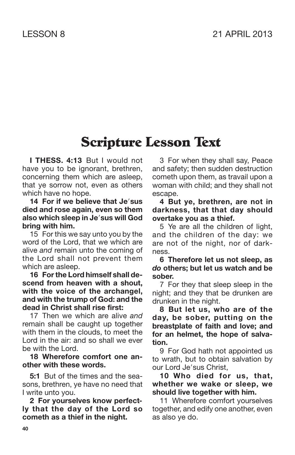### **Scripture Lesson Text**

**I THESS. 4:13** But I would not have you to be ignorant, brethren, concerning them which are asleep, that ye sorrow not, even as others which have no hope.

#### **14 For if we believe that Jesus died and rose again, even so them also which sleep in Jesus will God bring with him.**

15 For this we say unto you by the word of the Lord, that we which are alive *and* remain unto the coming of the Lord shall not prevent them which are asleep.

**16 Forthe Lord himself shall descend from heaven with a shout, with the voice of the archangel, and with the trump of God: and the dead in Christ shall rise first:**

17 Then we which are alive *and* remain shall be caught up together with them in the clouds, to meet the Lord in the air: and so shall we ever be with the Lord.

**18 Wherefore comfort one another with these words.**

**5:1** But of the times and the seasons, brethren, ye have no need that I write unto you.

**2 For yourselves know perfectly that the day of the Lord so cometh as a thief in the night.**

3 For when they shall say, Peace and safety; then sudden destruction cometh upon them, as travail upon a woman with child; and they shall not escape.

#### **4 But ye, brethren, are not in darkness, that that day should overtake you as a thief.**

5 Ye are all the children of light, and the children of the day: we are not of the night, nor of darkness.

**6 Therefore let us not sleep, as** *do* **others; but let us watch and be sober.**

7 For they that sleep sleep in the night; and they that be drunken are drunken in the night.

**8 But let us, who are of the day, be sober, putting on the breastplate of faith and love; and for an helmet, the hope of salvation.**

9 For God hath not appointed us to wrath, but to obtain salvation by our Lord Je'sus Christ,

**10 Who died for us, that, whether we wake or sleep, we should live together with him.**

11 Wherefore comfort yourselves together, and edify one another, even as also ye do.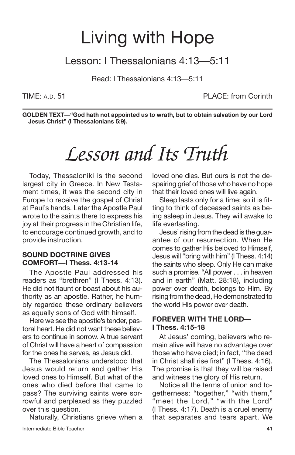### Living with Hope

### Lesson: I Thessalonians 4:13—5:11

Read: I Thessalonians 4:13—5:11

TIME: A.D. 51 PLACE: from Corinth

**GOLDEN TEXT—"God hath not appointed us to wrath, but to obtain salvation by our Lord Jesus Christ" (I Thessalonians 5:9).**

## *Lesson and Its Truth*

Today, Thessaloniki is the second largest city in Greece. In New Testament times, it was the second city in Europe to receive the gospel of Christ at Paul's hands. Later the Apostle Paul wrote to the saints there to express his joy at their progress in the Christian life, to encourage continued growth, and to provide instruction.

#### **SOUND DOCTRINE GIVES COMFORT—I Thess. 4:13-14**

The Apostle Paul addressed his readers as "brethren" (I Thess. 4:13). He did not flaunt or boast about his authority as an apostle. Rather, he humbly regarded these ordinary believers as equally sons of God with himself.

Here we see the apostle's tender, pastoral heart. He did not want these believers to continue in sorrow. A true servant of Christ will have a heart of compassion for the ones he serves, as Jesus did.

The Thessalonians understood that Jesus would return and gather His loved ones to Himself. But what of the ones who died before that came to pass? The surviving saints were sorrowful and perplexed as they puzzled over this question.

Naturally, Christians grieve when a Intermediate Bible Teacher **41**

loved one dies. But ours is not the despairing grief of those who have no hope that their loved ones will live again.

Sleep lasts only for a time; so it is fitting to think of deceased saints as being asleep in Jesus. They will awake to life everlasting.

Jesus' rising from the dead is the guarantee of our resurrection. When He comes to gather His beloved to Himself, Jesus will "bring with him" (I Thess. 4:14) the saints who sleep. Only He can make such a promise. "All power . . . in heaven and in earth" (Matt. 28:18), including power over death, belongs to Him. By rising from the dead, He demonstrated to the world His power over death.

#### **FOREVER WITH THE LORD— I Thess. 4:15-18**

At Jesus' coming, believers who remain alive will have no advantage over those who have died; in fact, "the dead in Christ shall rise first" (I Thess. 4:16). The promise is that they will be raised and witness the glory of His return.

Notice all the terms of union and togetherness: "together," "with them," "meet the Lord," "with the Lord" (I Thess. 4:17). Death is a cruel enemy that separates and tears apart. We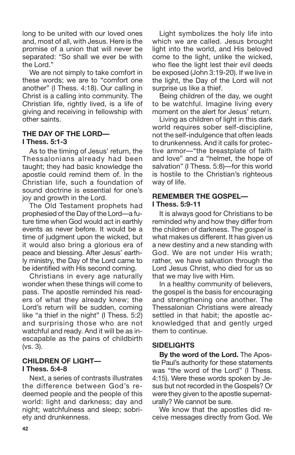long to be united with our loved ones and, most of all, with Jesus. Here is the promise of a union that will never be separated: "So shall we ever be with the Lord."

We are not simply to take comfort in these words; we are to "comfort one another" (I Thess. 4:18). Our calling in Christ is a calling into community. The Christian life, rightly lived, is a life of giving and receiving in fellowship with other saints.

#### **THE DAY OF THE LORD—**

#### **I Thess. 5:1-3**

As to the timing of Jesus' return, the Thessalonians already had been taught; they had basic knowledge the apostle could remind them of. In the Christian life, such a foundation of sound doctrine is essential for one's joy and growth in the Lord.

The Old Testament prophets had prophesied of the Day of the Lord—a future time when God would act in earthly events as never before. It would be a time of judgment upon the wicked, but it would also bring a glorious era of peace and blessing. After Jesus' earthly ministry, the Day of the Lord came to be identified with His second coming.

Christians in every age naturally wonder when these things will come to pass. The apostle reminded his readers of what they already knew; the Lord's return will be sudden, coming like "a thief in the night" (I Thess. 5:2) and surprising those who are not watchful and ready. And it will be as inescapable as the pains of childbirth (vs. 3).

#### **CHILDREN OF LIGHT— I Thess. 5:4-8**

Next, a series of contrasts illustrates the difference between God's redeemed people and the people of this world: light and darkness; day and night; watchfulness and sleep; sobriety and drunkenness.

Light symbolizes the holy life into which we are called. Jesus brought light into the world, and His beloved come to the light, unlike the wicked, who flee the light lest their evil deeds be exposed (John 3:19-20). If we live in the light, the Day of the Lord will not surprise us like a thief.

Being children of the day, we ought to be watchful. Imagine living every moment on the alert for Jesus' return.

Living as children of light in this dark world requires sober self-discipline, not the self-indulgence that often leads to drunkenness. And it calls for protective armor—"the breastplate of faith and love" and a "helmet, the hope of salvation" (I Thess. 5:8)—for this world is hostile to the Christian's righteous way of life.

#### **REMEMBER THE GOSPEL— I Thess. 5:9-11**

It is always good for Christians to be reminded why and how they differ from the children of darkness. The *gospel* is what makes us different. It has given us a new destiny and a new standing with God. We are not under His wrath; rather, we have salvation through the Lord Jesus Christ, who died for us so that we may live with Him.

In a healthy community of believers, the gospel is the basis for encouraging and strengthening one another. The Thessalonian Christians were already settled in that habit; the apostle acknowledged that and gently urged them to continue.

#### **SIDELIGHTS**

**By the word of the Lord.** The Apostle Paul's authority for these statements was "the word of the Lord" (I Thess. 4:15). Were these words spoken by Jesus but not recorded in the Gospels? Or were they given to the apostle supernaturally? We cannot be sure.

We know that the apostles did receive messages directly from God. We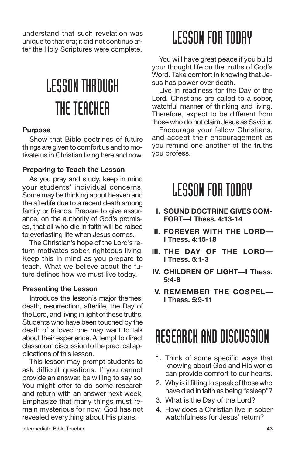understand that such revelation was unique to that era; it did not continue after the Holy Scriptures were complete.

# LESSONTHROUGH THE TEACHER

#### **Purpose**

Show that Bible doctrines of future things are given to comfort us and to motivate us in Christian living here and now.

#### **Preparing to Teach the Lesson**

As you pray and study, keep in mind your students' individual concerns. Some may be thinking about heaven and the afterlife due to a recent death among family or friends. Prepare to give assurance, on the authority of God's promises, that all who die in faith will be raised to everlasting life when Jesus comes.

The Christian's hope of the Lord's return motivates sober, righteous living. Keep this in mind as you prepare to teach. What we believe about the future defines how we must live today.

#### **Presenting the Lesson**

Introduce the lesson's major themes: death, resurrection, afterlife, the Day of the Lord, and living in light of these truths. Students who have been touched by the death of a loved one may want to talk about their experience. Attempt to direct classroom discussion to the practical applications of this lesson.

This lesson may prompt students to ask difficult questions. If you cannot provide an answer, be willing to say so. You might offer to do some research and return with an answer next week. Emphasize that many things must remain mysterious for now; God has not revealed everything about His plans.

### **LESSON FOR TODAY**

You will have great peace if you build your thought life on the truths of God's Word. Take comfort in knowing that Jesus has power over death.

Live in readiness for the Day of the Lord. Christians are called to a sober, watchful manner of thinking and living. Therefore, expect to be different from those who do not claim Jesus as Saviour.

Encourage your fellow Christians, and accept their encouragement as you remind one another of the truths you profess.

### **LESSON FOR TODAY**

- **I. SOUND DOCTRINE GIVES COM-FORT—I Thess. 4:13-14**
- **II. FOREVER WITH THE LORD— I Thess. 4:15-18**
- **III. THE DAY OF THE LORD— I Thess. 5:1-3**
- **IV. CHILDREN OF LIGHT—I Thess. 5:4-8**
- **V. REMEMBER THE GOSPEL— I Thess. 5:9-11**

### RESEARCH AND DISCUSSION

- 1. Think of some specific ways that knowing about God and His works can provide comfort to our hearts.
- 2. Why is it fitting to speak of those who have died in faith as being "asleep"?
- 3. What is the Day of the Lord?
- 4. How does a Christian live in sober watchfulness for Jesus' return?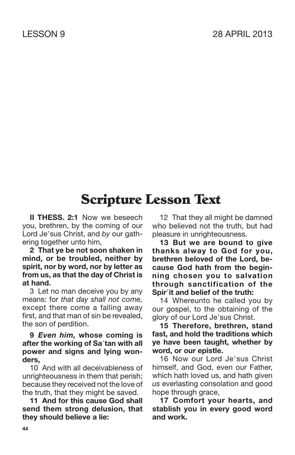### **Scripture Lesson Text**

**II THESS. 2:1** Now we beseech you, brethren, by the coming of our Lord Je'sus Christ, and by our gathering together unto him,

**2 That ye be not soon shaken in mind, or be troubled, neither by spirit, nor by word, nor by letter as from us, as that the day of Christ is at hand.**

3 Let no man deceive you by any means: for *that day shall not come,* except there come a falling away first, and that man of sin be revealed, the son of perdition.

#### **9** *Even him,* **whose coming is after the working of Satan with all power and signs and lying wonders,**

10 And with all deceivableness of unrighteousness in them that perish; because they received not the love of the truth, that they might be saved.

**11 And for this cause God shall send them strong delusion, that they should believe a lie:**

12 That they all might be damned who believed not the truth, but had pleasure in unrighteousness.

**13 But we are bound to give thanks alway to God for you, brethren beloved of the Lord, because God hath from the beginning chosen you to salvation through sanctification of the Spirit and belief of the truth:**

14 Whereunto he called you by our gospel, to the obtaining of the glory of our Lord Je'sus Christ.

**15 Therefore, brethren, stand fast, and hold the traditions which ye have been taught, whether by word, or our epistle.**

16 Now our Lord Je'sus Christ himself, and God, even our Father, which hath loved us, and hath given *us* everlasting consolation and good hope through grace,

**17 Comfort your hearts, and stablish you in every good word and work.**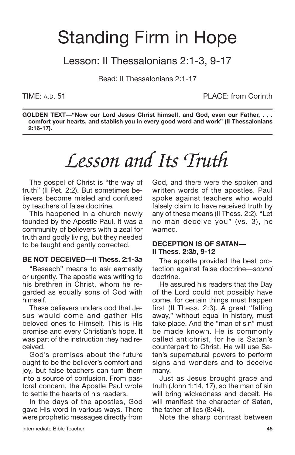## Standing Firm in Hope

Lesson: II Thessalonians 2:1-3, 9-17

Read: II Thessalonians 2:1-17

TIME: A.D. 51 PLACE: from Corinth

**GOLDEN TEXT—"Now our Lord Jesus Christ himself, and God, even our Father, . . . comfort your hearts, and stablish you in every good word and work" (II Thessalonians 2:16-17).**

# *Lesson and Its Truth*

The gospel of Christ is "the way of truth" (II Pet. 2:2). But sometimes believers become misled and confused by teachers of false doctrine.

This happened in a church newly founded by the Apostle Paul. It was a community of believers with a zeal for truth and godly living, but they needed to be taught and gently corrected.

#### **BE NOT DECEIVED—II Thess. 2:1-3***a*

"Beseech" means to ask earnestly or urgently. The apostle was writing to his brethren in Christ, whom he regarded as equally sons of God with himself.

These believers understood that Jesus would come and gather His beloved ones to Himself. This is His promise and every Christian's hope. It was part of the instruction they had received.

God's promises about the future ought to be the believer's comfort and joy, but false teachers can turn them into a source of confusion. From pastoral concern, the Apostle Paul wrote to settle the hearts of his readers.

In the days of the apostles, God gave His word in various ways. There were prophetic messages directly from God, and there were the spoken and written words of the apostles. Paul spoke against teachers who would falsely claim to have received truth by any of these means (II Thess. 2:2). "Let no man deceive you" (vs. 3), he warned.

#### **DECEPTION IS OF SATAN— II Thess. 2:3***b***, 9-12**

The apostle provided the best protection against false doctrine—*sound* doctrine.

He assured his readers that the Day of the Lord could not possibly have come, for certain things must happen first (II Thess. 2:3). A great "falling away," without equal in history, must take place. And the "man of sin" must be made known. He is commonly called antichrist, for he is Satan's counterpart to Christ. He will use Satan's supernatural powers to perform signs and wonders and to deceive many.

Just as Jesus brought grace and truth (John 1:14, 17), so the man of sin will bring wickedness and deceit. He will manifest the character of Satan, the father of lies (8:44).

Note the sharp contrast between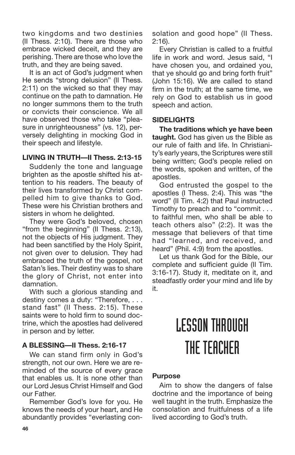two kingdoms and two destinies (II Thess. 2:10). There are those who embrace wicked deceit, and they are perishing. There are those who love the truth, and they are being saved.

It is an act of God's judgment when He sends "strong delusion" (II Thess. 2:11) on the wicked so that they may continue on the path to damnation. He no longer summons them to the truth or convicts their conscience. We all have observed those who take "pleasure in unrighteousness" (vs. 12), perversely delighting in mocking God in their speech and lifestyle.

#### **LIVING IN TRUTH—II Thess. 2:13-15**

Suddenly the tone and language brighten as the apostle shifted his attention to his readers. The beauty of their lives transformed by Christ compelled him to give thanks to God. These were his Christian brothers and sisters in whom he delighted.

They were God's beloved, chosen "from the beginning" (II Thess. 2:13), not the objects of His judgment. They had been sanctified by the Holy Spirit, not given over to delusion. They had embraced the truth of the gospel, not Satan's lies. Their destiny was to share the glory of Christ, not enter into damnation.

With such a glorious standing and destiny comes a duty: "Therefore, . . . stand fast" (II Thess. 2:15). These saints were to hold firm to sound doctrine, which the apostles had delivered in person and by letter.

### **A BLESSING—II Thess. 2:16-17**

We can stand firm only in God's strength, not our own. Here we are reminded of the source of every grace that enables us. It is none other than our Lord Jesus Christ Himself and God our Father.

Remember God's love for you. He knows the needs of your heart, and He abundantly provides "everlasting consolation and good hope" (II Thess. 2:16).

Every Christian is called to a fruitful life in work and word. Jesus said, "I have chosen you, and ordained you, that ye should go and bring forth fruit" (John 15:16). We are called to stand firm in the truth; at the same time, we rely on God to establish us in good speech and action.

#### **SIDELIGHTS**

**The traditions which ye have been taught.** God has given us the Bible as our rule of faith and life. In Christianity's early years, the Scriptures were still being written; God's people relied on the words, spoken and written, of the apostles.

God entrusted the gospel to the apostles (I Thess. 2:4). This was "the word" (II Tim. 4:2) that Paul instructed Timothy to preach and to "commit . . . to faithful men, who shall be able to teach others also" (2:2). It was the message that believers of that time had "learned, and received, and heard" (Phil. 4:9) from the apostles.

Let us thank God for the Bible, our complete and sufficient guide (II Tim. 3:16-17). Study it, meditate on it, and steadfastly order your mind and life by it.

## LESSONTHROUGH THE TEACHER

### **Purpose**

Aim to show the dangers of false doctrine and the importance of being well taught in the truth. Emphasize the consolation and fruitfulness of a life lived according to God's truth.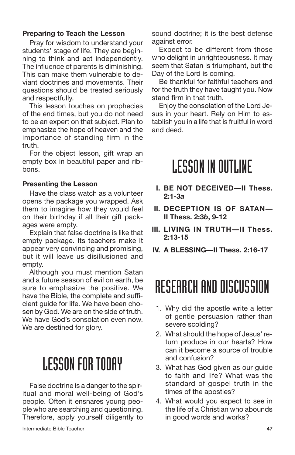#### **Preparing to Teach the Lesson**

Pray for wisdom to understand your students' stage of life. They are beginning to think and act independently. The influence of parents is diminishing. This can make them vulnerable to deviant doctrines and movements. Their questions should be treated seriously and respectfully.

This lesson touches on prophecies of the end times, but you do not need to be an expert on that subject. Plan to emphasize the hope of heaven and the importance of standing firm in the truth.

For the object lesson, gift wrap an empty box in beautiful paper and ribbons.

#### **Presenting the Lesson**

Have the class watch as a volunteer opens the package you wrapped. Ask them to imagine how they would feel on their birthday if all their gift packages were empty.

Explain that false doctrine is like that empty package. Its teachers make it appear very convincing and promising, but it will leave us disillusioned and empty.

Although you must mention Satan and a future season of evil on earth, be sure to emphasize the positive. We have the Bible, the complete and sufficient guide for life. We have been chosen by God. We are on the side of truth. We have God's consolation even now. We are destined for glory.

### **LESSON FOR TODAY**

False doctrine is a danger to the spiritual and moral well-being of God's people. Often it ensnares young people who are searching and questioning. Therefore, apply yourself diligently to sound doctrine; it is the best defense against error.

Expect to be different from those who delight in unrighteousness. It may seem that Satan is triumphant, but the Day of the Lord is coming.

Be thankful for faithful teachers and for the truth they have taught you. Now stand firm in that truth.

Enjoy the consolation of the Lord Jesus in your heart. Rely on Him to establish you in a life that is fruitful in word and deed.

### **LESSON IN OUTLINE**

- **I. BE NOT DECEIVED—II Thess. 2:1-3***a*
- **II. DECEPTION IS OF SATAN— II Thess. 2:3***b***, 9-12**
- **III. LIVING IN TRUTH—II Thess. 2:13-15**
- **IV. A BLESSING—II Thess. 2:16-17**

### RESEARCH AND DISCUSSION

- 1. Why did the apostle write a letter of gentle persuasion rather than severe scolding?
- 2. What should the hope of Jesus' return produce in our hearts? How can it become a source of trouble and confusion?
- 3. What has God given as our guide to faith and life? What was the standard of gospel truth in the times of the apostles?
- 4. What would you expect to see in the life of a Christian who abounds in good words and works?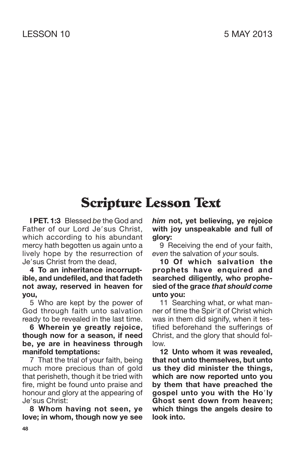### **Scripture Lesson Text**

**I PET. 1:3** Blessed *be* the God and Father of our Lord Je'sus Christ, which according to his abundant mercy hath begotten us again unto a lively hope by the resurrection of Je'sus Christ from the dead.

#### **4 To an inheritance incorruptible, and undefiled, and that fadeth not away, reserved in heaven for you,**

5 Who are kept by the power of God through faith unto salvation ready to be revealed in the last time.

**6 Wherein ye greatly rejoice, though now for a season, if need be, ye are in heaviness through manifold temptations:**

7 That the trial of your faith, being much more precious than of gold that perisheth, though it be tried with fire, might be found unto praise and honour and glory at the appearing of Je'sus Christ:

**8 Whom having not seen, ye love; in whom, though now ye see** *him* **not, yet believing, ye rejoice with joy unspeakable and full of glory:**

9 Receiving the end of your faith, *even* the salvation of *your* souls.

**10 Of which salvation the prophets have enquired and searched diligently, who prophesied of the grace** *that should come* **unto you:**

11 Searching what, or what manner of time the Spir'it of Christ which was in them did signify, when it testified beforehand the sufferings of Christ, and the glory that should follow.

**12 Unto whom it was revealed, that not unto themselves, but unto us they did minister the things, which are now reported unto you by them that have preached the gospel unto you with the Holy Ghost sent down from heaven; which things the angels desire to look into.**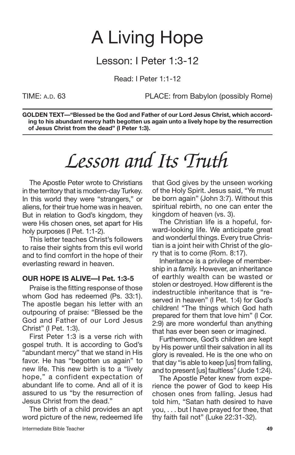## A Living Hope

### Lesson: I Peter 1:3-12

Read: I Peter 1:1-12

TIME: A.D. 63 PLACE: from Babylon (possibly Rome)

**GOLDEN TEXT—"Blessed be the God and Father of our Lord Jesus Christ, which according to his abundant mercy hath begotten us again unto a lively hope by the resurrection of Jesus Christ from the dead" (I Peter 1:3).**

# *Lesson and Its Truth*

The Apostle Peter wrote to Christians in the territory that is modern-day Turkey. In this world they were "strangers," or aliens, for their true home was in heaven. But in relation to God's kingdom, they were His chosen ones, set apart for His holy purposes (I Pet. 1:1-2).

This letter teaches Christ's followers to raise their sights from this evil world and to find comfort in the hope of their everlasting reward in heaven.

#### **OUR HOPE IS ALIVE—I Pet. 1:3-5**

Praise is the fitting response of those whom God has redeemed (Ps. 33:1). The apostle began his letter with an outpouring of praise: "Blessed be the God and Father of our Lord Jesus Christ" (I Pet. 1:3).

First Peter 1:3 is a verse rich with gospel truth. It is according to God's "abundant mercy" that we stand in His favor. He has "begotten us again" to new life. This new birth is to a "lively hope," a confident expectation of abundant life to come. And all of it is assured to us "by the resurrection of Jesus Christ from the dead."

The birth of a child provides an apt word picture of the new, redeemed life that God gives by the unseen working of the Holy Spirit. Jesus said, "Ye must be born again" (John 3:7). Without this spiritual rebirth, no one can enter the kingdom of heaven (vs. 3).

The Christian life is a hopeful, forward-looking life. We anticipate great and wonderful things. Every true Christian is a joint heir with Christ of the glory that is to come (Rom. 8:17).

Inheritance is a privilege of membership in a *family.* However, an inheritance of earthly wealth can be wasted or stolen or destroyed. How different is the indestructible inheritance that is "reserved in heaven" (I Pet. 1:4) for God's children! "The things which God hath prepared for them that love him" (I Cor. 2:9) are more wonderful than anything that has ever been seen or imagined.

Furthermore, God's children are kept by His power until their salvation in all its glory is revealed. He is the one who on that day "is able to keep [us] from falling, and to present [us] faultless" (Jude 1:24).

The Apostle Peter knew from experience the power of God to keep His chosen ones from falling. Jesus had told him, "Satan hath desired to have you, . . . but I have prayed for thee, that thy faith fail not" (Luke 22:31-32).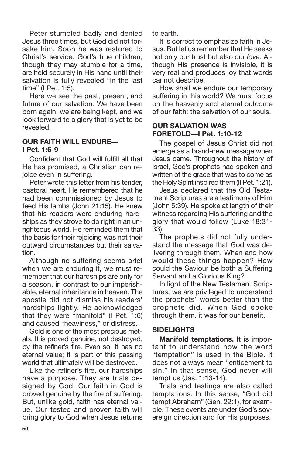Peter stumbled badly and denied Jesus three times, but God did not forsake him. Soon he was restored to Christ's service. God's true children, though they may stumble for a time, are held securely in His hand until their salvation is fully revealed "in the last time" (I Pet. 1:5).

Here we see the past, present, and future of our salvation. We have been born again, we are being kept, and we look forward to a glory that is yet to be revealed.

#### **OUR FAITH WILL ENDURE— I Pet. 1:6-9**

Confident that God will fulfill all that He has promised, a Christian can rejoice even in suffering.

Peter wrote this letter from his tender, pastoral heart. He remembered that he had been commissioned by Jesus to feed His lambs (John 21:15). He knew that his readers were enduring hardships as they strove to do right in an unrighteous world. He reminded them that the basis for their rejoicing was not their outward circumstances but their salvation.

Although no suffering seems brief when we are enduring it, we must remember that our hardships are only for a season, in contrast to our imperishable, eternal inheritance in heaven. The apostle did not dismiss his readers' hardships lightly. He acknowledged that they were "manifold" (I Pet. 1:6) and caused "heaviness," or distress.

Gold is one of the most precious metals. It is proved genuine, not destroyed, by the refiner's fire. Even so, it has no eternal value; it is part of this passing world that ultimately will be destroyed.

Like the refiner's fire, our hardships have a purpose. They are trials designed by God. Our faith in God is proved genuine by the fire of suffering. But, unlike gold, faith has eternal value. Our tested and proven faith will bring glory to God when Jesus returns to earth.

It is correct to emphasize faith in Jesus. But let us remember that He seeks not only our trust but also our *love.* Although His presence is invisible, it is very real and produces joy that words cannot describe.

How shall we endure our temporary suffering in this world? We must focus on the heavenly and eternal outcome of our faith: the salvation of our souls.

#### **OUR SALVATION WAS FORETOLD—I Pet. 1:10-12**

The gospel of Jesus Christ did not emerge as a brand-new message when Jesus came. Throughout the history of Israel, God's prophets had spoken and written of the grace that was to come as the Holy Spirit inspired them (II Pet. 1:21).

Jesus declared that the Old Testament Scriptures are a testimony of Him (John 5:39). He spoke at length of their witness regarding His suffering and the glory that would follow (Luke 18:31- 33).

The prophets did not fully understand the message that God was delivering through them. When and how would these things happen? How could the Saviour be both a Suffering Servant and a Glorious King?

In light of the New Testament Scriptures, we are privileged to understand the prophets' words better than the prophets did. When God spoke through them, it was for our benefit.

### **SIDELIGHTS**

**Manifold temptations.** It is important to understand how the word "temptation" is used in the Bible. It does not always mean "enticement to sin." In that sense, God never will tempt us (Jas. 1:13-14).

Trials and testings are also called temptations. In this sense, "God did tempt Abraham" (Gen. 22:1), for example. These events are under God's sovereign direction and for His purposes.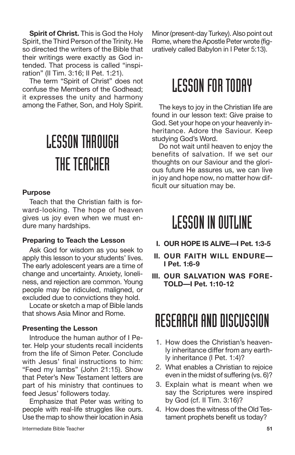**Spirit of Christ.** This is God the Holy Spirit, the Third Person of the Trinity. He so directed the writers of the Bible that their writings were exactly as God intended. That process is called "inspiration" (II Tim. 3:16; II Pet. 1:21).

The term "Spirit of Christ" does not confuse the Members of the Godhead; it expresses the unity and harmony among the Father, Son, and Holy Spirit.

# LESSONTHROUGH THE TEACHER

#### **Purpose**

Teach that the Christian faith is forward-looking. The hope of heaven gives us joy even when we must endure many hardships.

#### **Preparing to Teach the Lesson**

Ask God for wisdom as you seek to apply this lesson to your students' lives. The early adolescent years are a time of change and uncertainty. Anxiety, loneliness, and rejection are common. Young people may be ridiculed, maligned, or excluded due to convictions they hold.

Locate or sketch a map of Bible lands that shows Asia Minor and Rome.

#### **Presenting the Lesson**

Introduce the human author of I Peter. Help your students recall incidents from the life of Simon Peter. Conclude with Jesus' final instructions to him: "Feed my lambs" (John 21:15). Show that Peter's New Testament letters are part of his ministry that continues to feed Jesus' followers today.

Emphasize that Peter was writing to people with real-life struggles like ours. Use the map to show their location in Asia Minor (present-day Turkey). Also point out Rome, where the Apostle Peter wrote (figuratively called Babylon in I Peter 5:13).

### **LESSON FOR TODAY**

The keys to joy in the Christian life are found in our lesson text: Give praise to God. Set your hope on your heavenly inheritance. Adore the Saviour. Keep studying God's Word.

Do not wait until heaven to enjoy the benefits of salvation. If we set our thoughts on our Saviour and the glorious future He assures us, we can live in joy and hope now, no matter how difficult our situation may be.

### **LESSON IN OUTLINE**

- **I. OUR HOPE IS ALIVE—I Pet. 1:3-5**
- **II. OUR FAITH WILL ENDURE— I Pet. 1:6-9**
- **III. OUR SALVATION WAS FORE-TOLD—I Pet. 1:10-12**

### RESEARCH AND DISCUSSION

- 1. How does the Christian's heavenly inheritance differ from any earthly inheritance (I Pet. 1:4)?
- 2. What enables a Christian to rejoice even in the midst of suffering (vs. 6)?
- 3. Explain what is meant when we say the Scriptures were inspired by God (cf. II Tim. 3:16)?
- 4. How does the witness of the Old Testament prophets benefit us today?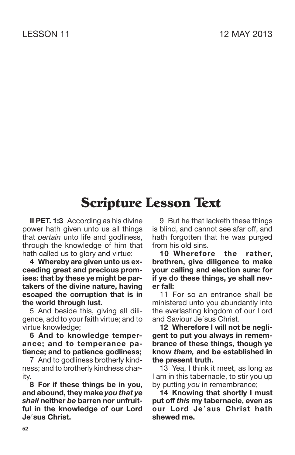### **Scripture Lesson Text**

**II PET. 1:3** According as his divine power hath given unto us all things that *pertain* unto life and godliness, through the knowledge of him that hath called us to glory and virtue:

**4 Whereby are given unto us exceeding great and precious promises: that by these ye might be partakers of the divine nature, having escaped the corruption that is in the world through lust.**

5 And beside this, giving all diligence, add to your faith virtue; and to virtue knowledge;

**6 And to knowledge temperance; and to temperance patience; and to patience godliness;**

7 And to godliness brotherly kindness; and to brotherly kindness charity.

**8 For if these things be in you, and abound, they make** *you that ye shall* **neither** *be* **barren nor unfruitful in the knowledge of our Lord Jesus Christ.**

9 But he that lacketh these things is blind, and cannot see afar off, and hath forgotten that he was purged from his old sins.

**10 Wherefore the rather, brethren, give diligence to make your calling and election sure: for if ye do these things, ye shall never fall:**

11 For so an entrance shall be ministered unto you abundantly into the everlasting kingdom of our Lord and Saviour Je'sus Christ.

**12 Wherefore I will not be negligent to put you always in remembrance of these things, though ye know** *them,* **and be established in the present truth.**

13 Yea, I think it meet, as long as I am in this tabernacle, to stir you up by putting *you* in remembrance;

**14 Knowing that shortly I must put off** *this* **my tabernacle, even as our Lord Je sus Christ hath shewed me.**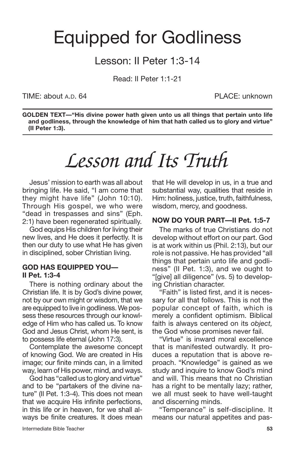### Equipped for Godliness

### Lesson: II Peter 1:3-14

Read: II Peter 1:1-21

TIME: about A.D. 64 PLACE: unknown

**GOLDEN TEXT—"His divine power hath given unto us all things that pertain unto life and godliness, through the knowledge of him that hath called us to glory and virtue" (II Peter 1:3).**

# *Lesson and Its Truth*

Jesus' mission to earth was all about bringing life. He said, "I am come that they might have life" (John 10:10). Through His gospel, we who were "dead in trespasses and sins" (Eph. 2:1) have been regenerated spiritually.

God equips His children for living their new lives, and He does it perfectly. It is then our duty to use what He has given in disciplined, sober Christian living.

#### **GOD HAS EQUIPPED YOU— II Pet. 1:3-4**

There is nothing ordinary about the Christian life. It is by God's divine power, not by our own might or wisdom, that we are equipped to live in godliness. We possess these resources through our knowledge of Him who has called us. To know God and Jesus Christ, whom He sent, is to possess life eternal (John 17:3).

Contemplate the awesome concept of knowing God. We are created in His image; our finite minds can, in a limited way, learn of His power, mind, and ways.

God has "called us to glory and virtue" and to be "partakers of the divine nature" (II Pet. 1:3-4). This does not mean that we acquire His infinite perfections, in this life or in heaven, for we shall always be finite creatures. It does mean that He will develop in us, in a true and substantial way, qualities that reside in Him: holiness, justice, truth, faithfulness, wisdom, mercy, and goodness.

#### **NOW DO YOUR PART—II Pet. 1:5-7**

The marks of true Christians do not develop without effort on our part. God is at work within us (Phil. 2:13), but our role is not passive. He has provided "all things that pertain unto life and godliness" (II Pet. 1:3), and we ought to "[give] all diligence" (vs. 5) to developing Christian character.

"Faith" is listed first, and it is necessary for all that follows. This is not the popular concept of faith, which is merely a confident optimism. Biblical faith is always centered on its *object,* the God whose promises never fail.

"Virtue" is inward moral excellence that is manifested outwardly. It produces a reputation that is above reproach. "Knowledge" is gained as we study and inquire to know God's mind and will. This means that no Christian has a right to be mentally lazy; rather, we all must seek to have well-taught and discerning minds.

"Temperance" is self-discipline. It means our natural appetites and pas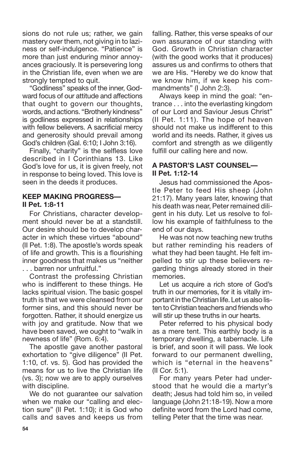sions do not rule us; rather, we gain mastery over them, not giving in to laziness or self-indulgence. "Patience" is more than just enduring minor annoyances graciously. It is persevering long in the Christian life, even when we are strongly tempted to quit.

"Godliness" speaks of the inner, Godward focus of our attitude and affections that ought to govern our thoughts, words, and actions. "Brotherly kindness" is godliness expressed in relationships with fellow believers. A sacrificial mercy and generosity should prevail among God's children (Gal. 6:10; I John 3:16).

Finally, "charity" is the selfless love described in I Corinthians 13. Like God's love for us, it is given freely, not in response to being loved. This love is seen in the deeds it produces.

#### **KEEP MAKING PROGRESS— II Pet. 1:8-11**

For Christians, character development should never be at a standstill. Our desire should be to develop character in which these virtues "abound" (II Pet. 1:8). The apostle's words speak of life and growth. This is a flourishing inner goodness that makes us "neither . . . barren nor unfruitful."

Contrast the professing Christian who is indifferent to these things. He lacks spiritual vision. The basic gospel truth is that we were cleansed from our former sins, and this should never be forgotten. Rather, it should energize us with joy and gratitude. Now that we have been saved, we ought to "walk in newness of life" (Rom. 6:4).

The apostle gave another pastoral exhortation to "give diligence" (II Pet. 1:10, cf. vs. 5). God has provided the means for us to live the Christian life (vs. 3); now we are to apply ourselves with discipline.

We do not guarantee our salvation when we make our "calling and election sure" (II Pet. 1:10); it is God who calls and saves and keeps us from falling. Rather, this verse speaks of our own assurance of our standing with God. Growth in Christian character (with the good works that it produces) assures us and confirms to others that we are His. "Hereby we do know that we know him, if we keep his commandments" (I John 2:3).

Always keep in mind the goal: "entrance . . . into the everlasting kingdom of our Lord and Saviour Jesus Christ" (II Pet. 1:11). The hope of heaven should not make us indifferent to this world and its needs. Rather, it gives us comfort and strength as we diligently fulfill our calling here and now.

#### **A PASTOR'S LAST COUNSEL— II Pet. 1:12-14**

Jesus had commissioned the Apostle Peter to feed His sheep (John 21:17). Many years later, knowing that his death was near, Peter remained diligent in his duty. Let us resolve to follow his example of faithfulness to the end of our days.

He was not now teaching new truths but rather reminding his readers of what they had been taught. He felt impelled to stir up these believers regarding things already stored in their memories.

Let us acquire a rich store of God's truth in our memories, for it is vitally important in the Christian life. Let us also listen to Christian teachers and friends who will stir up these truths in our hearts.

Peter referred to his physical body as a mere tent. This earthly body is a temporary dwelling, a tabernacle. Life is brief, and soon it will pass. We look forward to our permanent dwelling, which is "eternal in the heavens" (II Cor. 5:1).

For many years Peter had understood that he would die a martyr's death; Jesus had told him so, in veiled language (John 21:18-19). Now a more definite word from the Lord had come, telling Peter that the time was near.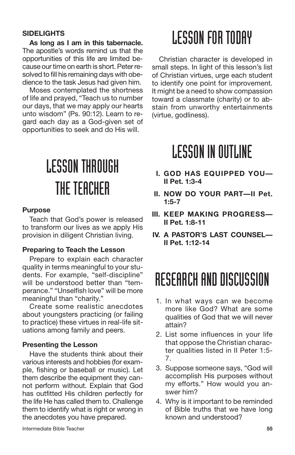#### **SIDELIGHTS**

**As long as I am in this tabernacle.** The apostle's words remind us that the opportunities of this life are limited because our time on earth is short. Peter resolved to fill his remaining days with obedience to the task Jesus had given him.

Moses contemplated the shortness of life and prayed, "Teach us to number our days, that we may apply our hearts unto wisdom" (Ps. 90:12). Learn to regard each day as a God-given set of opportunities to seek and do His will.

# LESSONTHROUGH THE TEACHER

#### **Purpose**

Teach that God's power is released to transform our lives as we apply His provision in diligent Christian living.

#### **Preparing to Teach the Lesson**

Prepare to explain each character quality in terms meaningful to your students. For example, "self-discipline" will be understood better than "temperance." "Unselfish love" will be more meaningful than "charity."

Create some realistic anecdotes about youngsters practicing (or failing to practice) these virtues in real-life situations among family and peers.

#### **Presenting the Lesson**

Have the students think about their various interests and hobbies (for example, fishing or baseball or music). Let them describe the equipment they cannot perform without. Explain that God has outfitted His children perfectly for the life He has called them to. Challenge them to identify what is right or wrong in the anecdotes you have prepared.

### **LESSON FOR TODAY**

Christian character is developed in small steps. In light of this lesson's list of Christian virtues, urge each student to identify one point for improvement. It might be a need to show compassion toward a classmate (charity) or to abstain from unworthy entertainments (virtue, godliness).

### **LESSON IN OUTLINE**

- **I. GOD HAS EQUIPPED YOU— II Pet. 1:3-4**
- **II. NOW DO YOUR PART—II Pet. 1:5-7**
- **III. KEEP MAKING PROGRESS— II Pet. 1:8-11**
- **IV. A PASTOR'S LAST COUNSEL— II Pet. 1:12-14**

### RESEARCH AND DISCUSSION

- 1. In what ways can we become more like God? What are some qualities of God that we will never attain?
- 2. List some influences in your life that oppose the Christian character qualities listed in II Peter 1:5- 7.
- 3. Suppose someone says, "God will accomplish His purposes without my efforts." How would you answer him?
- 4. Why is it important to be reminded of Bible truths that we have long known and understood?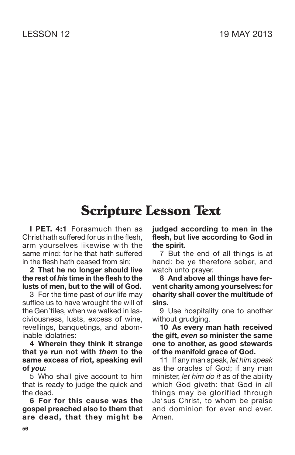### **Scripture Lesson Text**

**I PET. 4:1** Forasmuch then as Christ hath suffered for us in the flesh, arm yourselves likewise with the same mind: for he that hath suffered in the flesh hath ceased from sin;

**2 That he no longer should live the rest of** *his* **time in the flesh to the lusts of men, but to the will of God.**

3 For the time past of *our* life may suffice us to have wrought the will of the Gen'tiles, when we walked in lasciviousness, lusts, excess of wine, revellings, banquetings, and abominable idolatries:

**4 Wherein they think it strange that ye run not with** *them* **to the same excess of riot, speaking evil of** *you:*

5 Who shall give account to him that is ready to judge the quick and the dead.

**6 For for this cause was the gospel preached also to them that are dead, that they might be** **judged according to men in the flesh, but live according to God in the spirit.**

7 But the end of all things is at hand: be ye therefore sober, and watch unto prayer.

**8 And above all things have fervent charity among yourselves: for charity shall cover the multitude of sins.**

9 Use hospitality one to another without grudging.

**10 As every man hath received the gift,** *even so* **minister the same one to another, as good stewards of the manifold grace of God.**

11 If any man speak, *let him speak* as the oracles of God; if any man minister, *let him do it* as of the ability which God giveth: that God in all things may be glorified through Je'sus Christ, to whom be praise and dominion for ever and ever. Amen.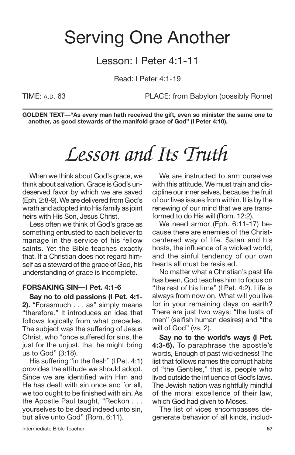### Serving One Another

### Lesson: I Peter 4:1-11

Read: I Peter 4:1-19

TIME: A.D. 63 PLACE: from Babylon (possibly Rome)

**GOLDEN TEXT—"As every man hath received the gift, even so minister the same one to another, as good stewards of the manifold grace of God" (I Peter 4:10).**

## *Lesson and Its Truth*

When we think about God's grace, we think about salvation. Grace is God's undeserved favor by which we are saved (Eph. 2:8-9). We are delivered from God's wrath and adopted into His family as joint heirs with His Son, Jesus Christ.

Less often we think of God's grace as something entrusted to each believer to manage in the service of his fellow saints. Yet the Bible teaches exactly that. If a Christian does not regard himself as a steward of the grace of God, his understanding of grace is incomplete.

#### **FORSAKING SIN—I Pet. 4:1-6**

**Say no to old passions (I Pet. 4:1- 2).** "Forasmuch . . . as" simply means "therefore." It introduces an idea that follows logically from what precedes. The subject was the suffering of Jesus Christ, who "once suffered for sins, the just for the unjust, that he might bring us to God" (3:18).

His suffering "in the flesh" (I Pet. 4:1) provides the attitude we should adopt. Since we are identified with Him and He has dealt with sin once and for all, we too ought to be finished with sin. As the Apostle Paul taught, "Reckon . . . yourselves to be dead indeed unto sin, but alive unto God" (Rom. 6:11).

We are instructed to arm ourselves with this attitude. We must train and discipline ourinner selves, because the fruit of our lives issues from within. It is by the renewing of our mind that we are transformed to do His will (Rom. 12:2).

We need armor (Eph. 6:11-17) because there are enemies of the Christcentered way of life. Satan and his hosts, the influence of a wicked world, and the sinful tendency of our own hearts all must be resisted.

No matter what a Christian's past life has been, God teaches him to focus on "the rest of his time" (I Pet. 4:2). Life is always from now on. What will you live for in your remaining days on earth? There are just two ways: "the lusts of men" (selfish human desires) and "the will of God" (vs. 2).

**Say no to the world's ways (I Pet. 4:3-6).** To paraphrase the apostle's words, Enough of past wickedness! The list that follows names the corrupt habits of "the Gentiles," that is, people who lived outside the influence of God's laws. The Jewish nation was rightfully mindful of the moral excellence of their law, which God had given to Moses.

The list of vices encompasses degenerate behavior of all kinds, includ-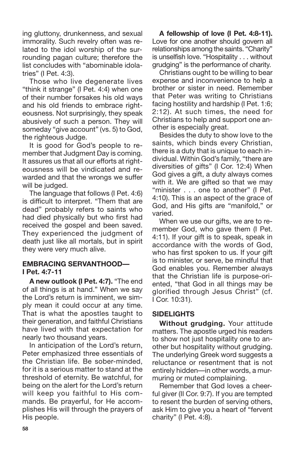ing gluttony, drunkenness, and sexual immorality. Such revelry often was related to the idol worship of the surrounding pagan culture; therefore the list concludes with "abominable idolatries" (I Pet. 4:3).

Those who live degenerate lives "think it strange" (I Pet. 4:4) when one of their number forsakes his old ways and his old friends to embrace righteousness. Not surprisingly, they speak abusively of such a person. They will someday "give account" (vs. 5) to God, the righteous Judge.

It is good for God's people to remember that Judgment Day is coming. It assures us that all our efforts at righteousness will be vindicated and rewarded and that the wrongs we suffer will be judged.

The language that follows (I Pet. 4:6) is difficult to interpret. "Them that are dead" probably refers to saints who had died physically but who first had received the gospel and been saved. They experienced the judgment of death just like all mortals, but in spirit they were very much alive.

#### **EMBRACING SERVANTHOOD— I Pet. 4:7-11**

**A new outlook (I Pet. 4:7).** "The end of all things is at hand." When we say the Lord's return is imminent, we simply mean it could occur at any time. That is what the apostles taught to their generation, and faithful Christians have lived with that expectation for nearly two thousand years.

In anticipation of the Lord's return, Peter emphasized three essentials of the Christian life. Be sober-minded, for it is a serious matter to stand at the threshold of eternity. Be watchful, for being on the alert for the Lord's return will keep you faithful to His commands. Be prayerful, for He accomplishes His will through the prayers of His people.

**A fellowship of love (I Pet. 4:8-11).** Love for one another should govern all relationships among the saints. "Charity" is unselfish love. "Hospitality . . . without grudging" is the performance of charity.

Christians ought to be willing to bear expense and inconvenience to help a brother or sister in need. Remember that Peter was writing to Christians facing hostility and hardship (I Pet. 1:6; 2:12). At such times, the need for Christians to help and support one another is especially great.

Besides the duty to show love to the saints, which binds every Christian, there is a duty that is unique to each individual. Within God's family, "there are diversities of gifts" (I Cor. 12:4) When God gives a gift, a duty always comes with it. We are gifted so that we may "minister . . . one to another" (I Pet. 4:10). This is an aspect of the grace of God, and His gifts are "manifold," or varied.

When we use our gifts, we are to remember God, who gave them (I Pet. 4:11). If your gift is to speak, speak in accordance with the words of God, who has first spoken to us. If your gift is to minister, or serve, be mindful that God enables you. Remember always that the Christian life is purpose-oriented, "that God in all things may be glorified through Jesus Christ" (cf. I Cor. 10:31).

### **SIDELIGHTS**

**Without grudging.** Your attitude matters. The apostle urged his readers to show not just hospitality one to another but hospitality without grudging. The underlying Greek word suggests a reluctance or resentment that is not entirely hidden—in other words, a murmuring or muted complaining.

Remember that God loves a cheerful giver (II Cor. 9:7). If you are tempted to resent the burden of serving others, ask Him to give you a heart of "fervent charity" (I Pet. 4:8).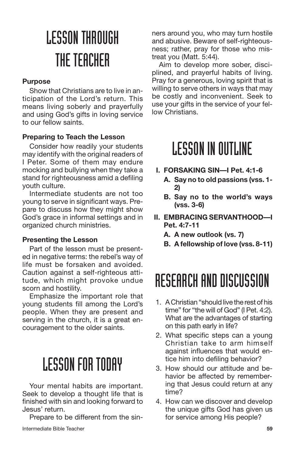# LESSONTHROUGH THE TEACHER

#### **Purpose**

Show that Christians are to live in anticipation of the Lord's return. This means living soberly and prayerfully and using God's gifts in loving service to our fellow saints.

#### **Preparing to Teach the Lesson**

Consider how readily your students may identify with the original readers of I Peter. Some of them may endure mocking and bullying when they take a stand for righteousness amid a defiling youth culture.

Intermediate students are not too young to serve in significant ways. Prepare to discuss how they might show God's grace in informal settings and in organized church ministries.

#### **Presenting the Lesson**

Part of the lesson must be presented in negative terms: the rebel's way of life must be forsaken and avoided. Caution against a self-righteous attitude, which might provoke undue scorn and hostility.

Emphasize the important role that young students fill among the Lord's people. When they are present and serving in the church, it is a great encouragement to the older saints.

### **LESSON FOR TODAY**

Your mental habits are important. Seek to develop a thought life that is finished with sin and looking forward to Jesus' return.

Prepare to be different from the sin-

ners around you, who may turn hostile and abusive. Beware of self-righteousness; rather, pray for those who mistreat you (Matt. 5:44).

Aim to develop more sober, disciplined, and prayerful habits of living. Pray for a generous, loving spirit that is willing to serve others in ways that may be costly and inconvenient. Seek to use your gifts in the service of your fellow Christians.

### **LESSON IN OUTLINE**

- **I. FORSAKING SIN—I Pet. 4:1-6**
	- **A. Say no to old passions (vss. 1- 2)**
	- **B. Say no to the world's ways (vss. 3-6)**
- **II. EMBRACING SERVANTHOOD—I Pet. 4:7-11**
	- **A. A new outlook (vs. 7)**
	- **B. A fellowship of love (vss. 8-11)**

### RESEARCH AND DISCUSSION

- 1. A Christian "should live the rest of his time" for "the will of God" (I Pet. 4:2). What are the advantages of starting on this path early in life?
- 2. What specific steps can a young Christian take to arm himself against influences that would entice him into defiling behavior?
- 3. How should our attitude and behavior be affected by remembering that Jesus could return at any time?
- 4. How can we discover and develop the unique gifts God has given us for service among His people?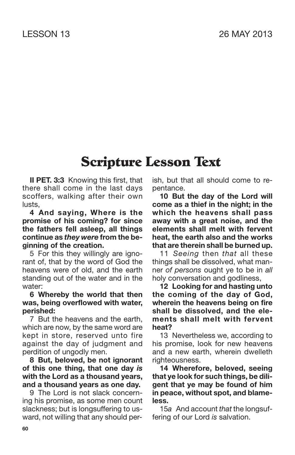### **Scripture Lesson Text**

**II PET. 3:3** Knowing this first, that there shall come in the last days scoffers, walking after their own lusts,

**4 And saying, Where is the promise of his coming? for since the fathers fell asleep, all things continue as** *they were* **from the beginning of the creation.**

5 For this they willingly are ignorant of, that by the word of God the heavens were of old, and the earth standing out of the water and in the water:

#### **6 Whereby the world that then was, being overflowed with water, perished:**

7 But the heavens and the earth, which are now, by the same word are kept in store, reserved unto fire against the day of judgment and perdition of ungodly men.

**8 But, beloved, be not ignorant of this one thing, that one day** *is* **with the Lord as a thousand years, and a thousand years as one day.**

9 The Lord is not slack concerning his promise, as some men count slackness; but is longsuffering to usward, not willing that any should perish, but that all should come to repentance.

**10 But the day of the Lord will come as a thief in the night; in the which the heavens shall pass away with a great noise, and the elements shall melt with fervent heat, the earth also and the works that are therein shall be burned up.**

11 *Seeing* then *that* all these things shall be dissolved, what manner *of persons* ought ye to be in *all* holy conversation and godliness,

**12 Looking for and hasting unto the coming of the day of God, wherein the heavens being on fire shall be dissolved, and the elements shall melt with fervent heat?**

13 Nevertheless we, according to his promise, look for new heavens and a new earth, wherein dwelleth righteousness.

**14 Wherefore, beloved, seeing that ye look for such things, be diligent that ye may be found of him in peace, without spot, and blameless.**

15*a* And account *that* the longsuffering of our Lord *is* salvation.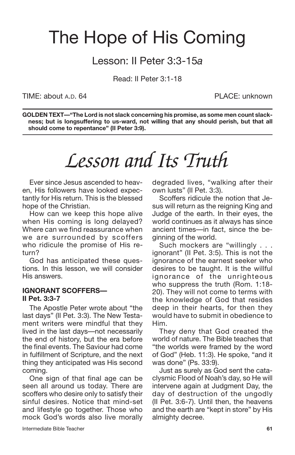### The Hope of His Coming

### Lesson: II Peter 3:3-15*a*

Read: II Peter 3:1-18

TIME: about A.D. 64 PLACE: unknown

**GOLDEN TEXT—"The Lord is not slack concerning his promise, as some men count slackness; but is longsuffering to us-ward, not willing that any should perish, but that all should come to repentance" (II Peter 3:9).**

# *Lesson and Its Truth*

Ever since Jesus ascended to heaven, His followers have looked expectantly for His return. This is the blessed hope of the Christian.

How can we keep this hope alive when His coming is long delayed? Where can we find reassurance when we are surrounded by scoffers who ridicule the promise of His return?

God has anticipated these questions. In this lesson, we will consider His answers.

#### **IGNORANT SCOFFERS— II Pet. 3:3-7**

The Apostle Peter wrote about "the last days" (II Pet. 3:3). The New Testament writers were mindful that they lived in the last days—not necessarily the end of history, but the era before the final events. The Saviour had come in fulfillment of Scripture, and the next thing they anticipated was His second coming.

One sign of that final age can be seen all around us today. There are scoffers who desire only to satisfy their sinful desires. Notice that mind-set and lifestyle go together. Those who mock God's words also live morally degraded lives, "walking after their own lusts" (II Pet. 3:3).

Scoffers ridicule the notion that Jesus will return as the reigning King and Judge of the earth. In their eyes, the world continues as it always has since ancient times—in fact, since the beginning of the world.

Such mockers are "willingly . . . ignorant" (II Pet. 3:5). This is not the ignorance of the earnest seeker who desires to be taught. It is the willful ignorance of the unrighteous who suppress the truth (Rom. 1:18- 20). They will not come to terms with the knowledge of God that resides deep in their hearts, for then they would have to submit in obedience to Him.

They deny that God created the world of nature. The Bible teaches that "the worlds were framed by the word of God" (Heb. 11:3). He spoke, "and it was done" (Ps. 33:9).

Just as surely as God sent the cataclysmic Flood of Noah's day, so He will intervene again at Judgment Day, the day of destruction of the ungodly (II Pet. 3:6-7). Until then, the heavens and the earth are "kept in store" by His almighty decree.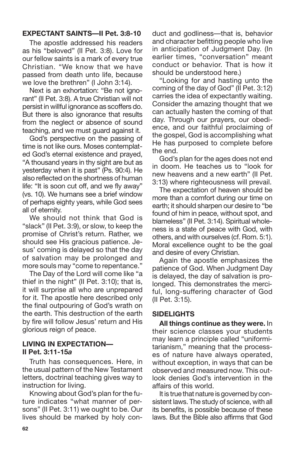#### **EXPECTANT SAINTS—II Pet. 3:8-10**

The apostle addressed his readers as his "beloved" (II Pet. 3:8). Love for our fellow saints is a mark of every true Christian. "We know that we have passed from death unto life, because we love the brethren" (I John 3:14).

Next is an exhortation: "Be not ignorant" (II Pet. 3:8). A true Christian will not persist in willful ignorance as scoffers do. But there is also ignorance that results from the neglect or absence of sound teaching, and we must guard against it.

God's perspective on the passing of time is not like ours. Moses contemplated God's eternal existence and prayed, "A thousand years in thy sight are but as yesterday when it is past" (Ps. 90:4). He also reflected on the shortness of human life: "It is soon cut off, and we fly away" (vs. 10). We humans see a brief window of perhaps eighty years, while God sees all of eternity.

We should not think that God is "slack" (II Pet. 3:9), or slow, to keep the promise of Christ's return. Rather, we should see His gracious patience. Jesus' coming is delayed so that the day of salvation may be prolonged and more souls may "come to repentance."

The Day of the Lord will come like "a thief in the night" (II Pet. 3:10); that is, it will surprise all who are unprepared for it. The apostle here described only the final outpouring of God's wrath on the earth. This destruction of the earth by fire will follow Jesus' return and His glorious reign of peace.

#### **LIVING IN EXPECTATION— II Pet. 3:11-15***a*

Truth has consequences. Here, in the usual pattern of the New Testament letters, doctrinal teaching gives way to instruction for living.

Knowing about God's plan for the future indicates "what manner of persons" (II Pet. 3:11) we ought to be. Our lives should be marked by holy conduct and godliness—that is, behavior and character befitting people who live in anticipation of Judgment Day. (In earlier times, "conversation" meant conduct or behavior. That is how it should be understood here.)

"Looking for and hasting unto the coming of the day of God" (II Pet. 3:12) carries the idea of expectantly waiting. Consider the amazing thought that we can actually hasten the coming of that day. Through our prayers, our obedience, and our faithful proclaiming of the gospel, God is accomplishing what He has purposed to complete before the end.

God's plan for the ages does not end in doom. He teaches us to "look for new heavens and a new earth" (II Pet. 3:13) where righteousness will prevail.

The expectation of heaven should be more than a comfort during our time on earth; it should sharpen our desire to "be found of him in peace, without spot, and blameless" (II Pet. 3:14). Spiritual wholeness is a state of peace with God, with others, and with ourselves (cf. Rom. 5:1). Moral excellence ought to be the goal and desire of every Christian.

Again the apostle emphasizes the patience of God. When Judgment Day is delayed, the day of salvation is prolonged. This demonstrates the merciful, long-suffering character of God (II Pet. 3:15).

#### **SIDELIGHTS**

**All things continue as they were.** In their science classes your students may learn a principle called "uniformitarianism," meaning that the processes of nature have always operated, without exception, in ways that can be observed and measured now. This outlook denies God's intervention in the affairs of this world.

It is true that nature is governed by consistent laws. The study of science, with all its benefits, is possible because of these laws. But the Bible also affirms that God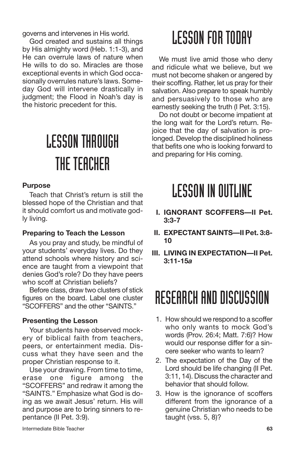governs and intervenes in His world.

God created and sustains all things by His almighty word (Heb. 1:1-3), and He can overrule laws of nature when He wills to do so. Miracles are those exceptional events in which God occasionally overrules nature's laws. Someday God will intervene drastically in judgment; the Flood in Noah's day is the historic precedent for this.

# LESSONTHROUGH THE TEACHER

#### **Purpose**

Teach that Christ's return is still the blessed hope of the Christian and that it should comfort us and motivate godly living.

#### **Preparing to Teach the Lesson**

As you pray and study, be mindful of your students' everyday lives. Do they attend schools where history and science are taught from a viewpoint that denies God's role? Do they have peers who scoff at Christian beliefs?

Before class, draw two clusters of stick figures on the board. Label one cluster "SCOFFERS" and the other "SAINTS."

#### **Presenting the Lesson**

Your students have observed mockery of biblical faith from teachers, peers, or entertainment media. Discuss what they have seen and the proper Christian response to it.

Use your drawing. From time to time, erase one figure among the "SCOFFERS" and redraw it among the "SAINTS." Emphasize what God is doing as we await Jesus' return. His will and purpose are to bring sinners to repentance (II Pet. 3:9).

## **LESSON FOR TODAY**

We must live amid those who deny and ridicule what we believe, but we must not become shaken or angered by their scoffing. Rather, let us pray for their salvation. Also prepare to speak humbly and persuasively to those who are earnestly seeking the truth (I Pet. 3:15).

Do not doubt or become impatient at the long wait for the Lord's return. Rejoice that the day of salvation is prolonged. Develop the disciplined holiness that befits one who is looking forward to and preparing for His coming.

## **LESSON IN OUTLINE**

- **I. IGNORANT SCOFFERS—II Pet. 3:3-7**
- **II. EXPECTANT SAINTS—II Pet. 3:8- 10**
- **III. LIVING IN EXPECTATION—II Pet. 3:11-15***a*

### RESEARCH AND DISCUSSION

- 1. How should we respond to a scoffer who only wants to mock God's words (Prov. 26:4; Matt. 7:6)? How would our response differ for a sincere seeker who wants to learn?
- 2. The expectation of the Day of the Lord should be life changing (II Pet. 3:11, 14). Discuss the character and behavior that should follow.
- 3. How is the ignorance of scoffers different from the ignorance of a genuine Christian who needs to be taught (vss. 5, 8)?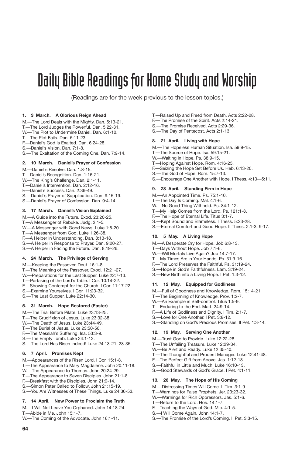### Daily Bible Readings for Home Study and Worship

(Readings are for the week previous to the lesson topics.)

#### **1. 3 March. A Glorious Reign Ahead**

- M.—The Lord Deals with the Mighty. Dan. 5:13-21.
- T.—The Lord Judges the Powerful. Dan. 5:22-31.
- W.—The Plot to Undermine Daniel. Dan. 6:1-10.
- T.—The Plot Fails. Dan. 6:11-23.
- F.—Daniel's God Is Exalted. Dan. 6:24-28.
- S.—Daniel's Vision. Dan. 7:1-8.
- S.—The Exaltation of the Coming One. Dan. 7:9-14.

#### **2. 10 March. Daniel's Prayer of Confession**

- M.—Daniel's Resolve. Dan. 1:8-15.
- T.—Daniel's Recognition. Dan. 1:16-21.
- W.—The King's Challenge. Dan. 2:1-11.
- T.—Daniel's Intervention. Dan. 2:12-16.
- F.—Daniel's Success. Dan. 2:36-49.
- S.—Daniel's Prayer of Supplication. Dan. 9:15-19.
- S.—Daniel's Prayer of Confession. Dan. 9:4-14.

#### **3. 17 March. Daniel's Vision Explained**

- M.—A Guide into the Future. Exod. 23:20-25.
- T.—A Messenger of Rebuke. Judg. 2:1-5.
- W.—A Messenger with Good News. Luke 1:8-20.
- T.—A Messenger from God. Luke 1:26-38.
- F.—A Helper in Understanding. Dan. 8:13-18.
- S.—A Helper in Response to Prayer. Dan. 9:20-27.
- S.—A Helper in Facing the Future. Dan. 8:19-26.

#### **4. 24 March. The Privilege of Serving**

- M.—Keeping the Passover. Deut. 16:1-8.
- T.—The Meaning of the Passover. Exod. 12:21-27.
- W.—Preparations for the Last Supper. Luke 22:7-13.
- T.—Partaking of the Lord's Table. I Cor. 10:14-22.
- F.—Showing Contempt for the Church. I Cor. 11:17-22.
- S.—Examine Yourselves. I Cor. 11:23-32.
- S.—The Last Supper. Luke 22:14-30.

#### **5. 31 March. Hope Restored (Easter)**

- M.—The Trial Before Pilate. Luke 23:13-25.
- T.—The Crucifixion of Jesus. Luke 23:32-38.
- W.—The Death of Jesus. Luke 23:44-49.
- T.—The Burial of Jesus. Luke 23:50-56.<br>F—The Messiah's Suffering Isa 53:3-9
- -The Messiah's Suffering. Isa. 53:3-9.
- S.—The Empty Tomb. Luke 24:1-12.
- S.—The Lord Has Risen Indeed! Luke 24:13-21, 28-35.

#### **6. 7 April. Promises Kept**

**64**

- M.—Appearances of the Risen Lord. I Cor. 15:1-8.
- T.—The Appearance to Mary Magdalene. John 20:11-18.
- W.—The Appearance to Thomas. John 20:24-29.
- T.—The Appearance to Seven Disciples. John 21:1-8.
- F.—Breakfast with the Disciples. John 21:9-14.
- S.—Simon Peter Called to Follow. John 21:15-19.
- S.—You Are Witnesses of These Things. Luke 24:36-53.

#### **7. 14 April. New Power to Proclaim the Truth**

- M.—I Will Not Leave You Orphaned. John 14:18-24. T.—Abide in Me. John 15:1-7.
- W.—The Coming of the Advocate. John 16:1-11.
- T.—Raised Up and Freed from Death. Acts 2:22-28.
- F.—The Promise of the Spirit. Acts 2:14-21.
- S.—The Promise Received. Acts 2:29-36. S.—The Day of Pentecost. Acts 2:1-13.
- 

#### **8. 21 April. Living with Hope**

- M.—The Hopeless Human Situation. Isa. 59:9-15.
- T.—The Source of Hope. Isa. 59:15-21.
- W.—Waiting in Hope. Ps. 38:9-15.
- T.—Hoping Against Hope. Rom. 4:16-25.
- F.—Seizing the Hope Set Before Us. Heb. 6:13-20.
- S.—The God of Hope. Rom. 15:7-13.
- S.—Encourage One Another with Hope. I Thess. 4:13—5:11.

#### **9. 28 April. Standing Firm in Hope**

- M.—An Appointed Time. Ps. 75:1-10.
- T.—The Day Is Coming. Mal. 4:1-6.
- W.—No Good Thing Withheld. Ps. 84:1-12.
- T.—My Help Comes from the Lord. Ps. 121:1-8.
- F.—The Hope of Eternal Life. Titus 3:1-7.
- S.—Kept Sound and Blameless. I Thess. 5:23-28.
- S.—Eternal Comfort and Good Hope. II Thess. 2:1-3, 9-17.

#### **10. 5 May. A Living Hope**

- M.—A Desperate Cry for Hope. Job 6:8-13.
- T.—Days Without Hope. Job 7:1-6.
- W.—Will Mortals Live Again? Job 14:7-17.
- T.—My Times Are in Your Hands. Ps. 31:9-16.
- F.—The Lord Preserves the Faithful. Ps. 31:19-24.
- S.—Hope in God's Faithfulness. Lam. 3:19-24.
- S.—New Birth into a Living Hope. I Pet. 1:3-12.

#### **11. 12 May. Equipped for Godliness**

- M.—Full of Goodness and Knowledge. Rom. 15:14-21.
- T.—The Beginning of Knowledge. Prov. 1:2-7.
- W.—An Example in Self-control. Titus 1:5-9.
- T.—Enduring to the End. Matt. 24:9-14.
- F.—A Life of Godliness and Dignity. I Tim. 2:1-7.
- S.—Love for One Another. I Pet. 3:8-12.
- S.—Standing on God's Precious Promises. II Pet. 1:3-14.

#### **12. 19 May. Serving One Another**

- M.—Trust God to Provide. Luke 12:22-28.
- T.—The Unfailing Treasure. Luke 12:29-34.
- W.—Be Alert and Ready. Luke 12:35-40.
- T.—The Thoughtful and Prudent Manager. Luke 12:41-48.
- F.—The Perfect Gift from Above. Jas. 1:12-18.
- S.—Faithful in Little and Much. Luke 16:10-13.
- S.—Good Stewards of God's Grace. I Pet. 4:1-11.

#### **13. 26 May. The Hope of His Coming**

T.—Return to the Lord. Hos. 14:1-7. F.—Teaching the Ways of God. Mic. 4:1-5. S.—I Will Come Again. John 14:1-7.

- M.—Distressing Times Will Come. II Tim. 3:1-9.
- T.—Warnings for False Prophets. Jer. 23:23-32. W.—Warnings for Rich Oppressors. Jas. 5:1-6.

S.—The Promise of the Lord's Coming. II Pet. 3:3-15.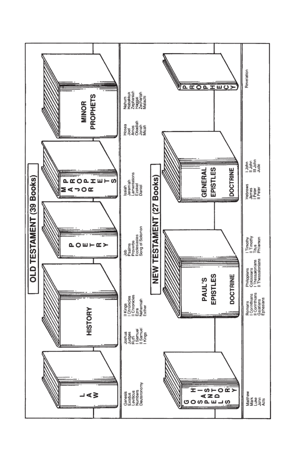